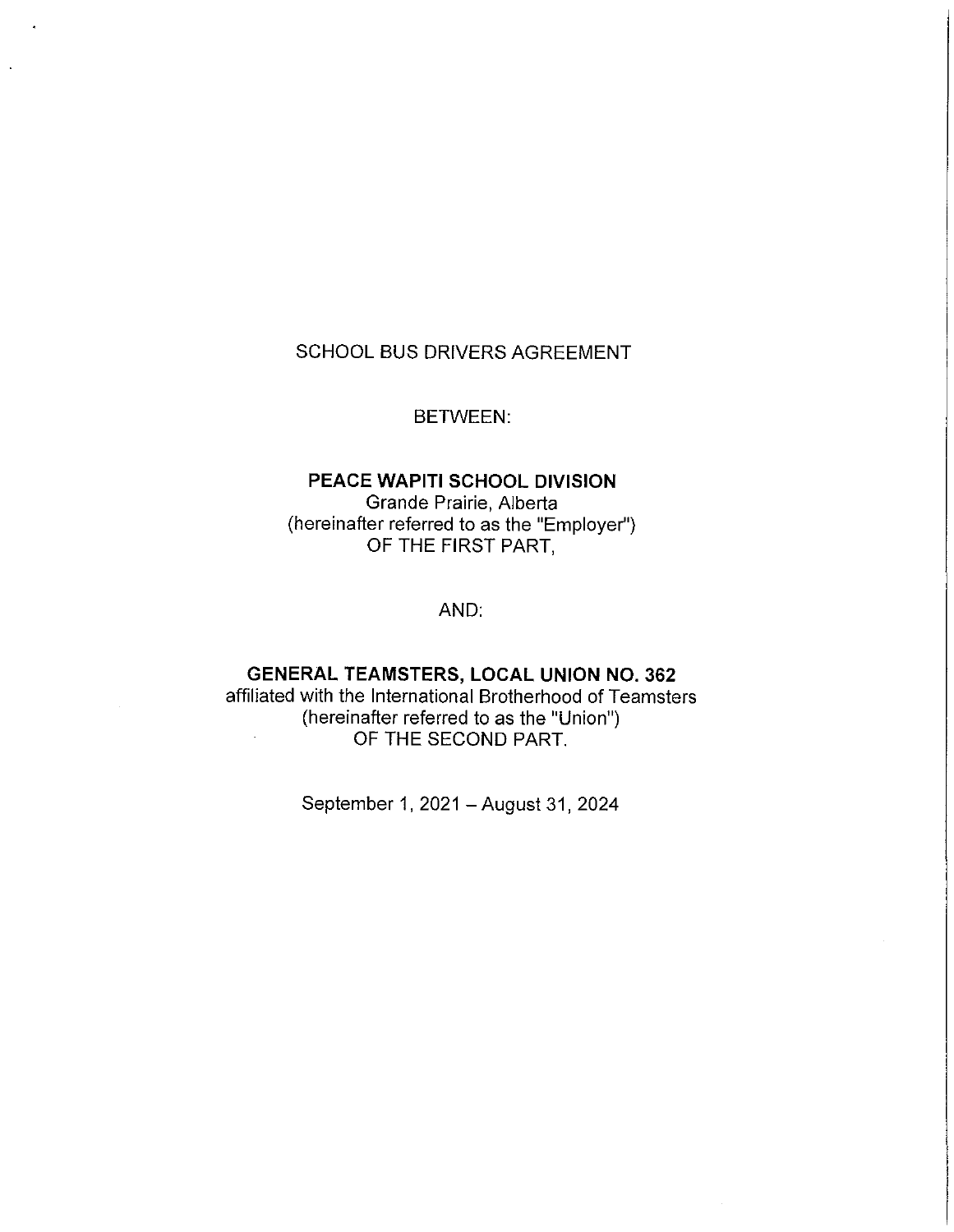# SCHOOL BUS DRIVERS AGREEMENT

BETWEEN:

# **PEACE WAPITI SCHOOL DIVISION**  Grande Prairie, Alberta (hereinafter referred to as the "Employer") OF THE FIRST PART,

AND:

# **GENERAL TEAMSTERS, LOCAL UNION NO. 362**

affiliated with the International Brotherhood of Teamsters (hereinafter referred to as the "Union") OF THE SECOND PART.

September 1, 2021 - August 31, 2024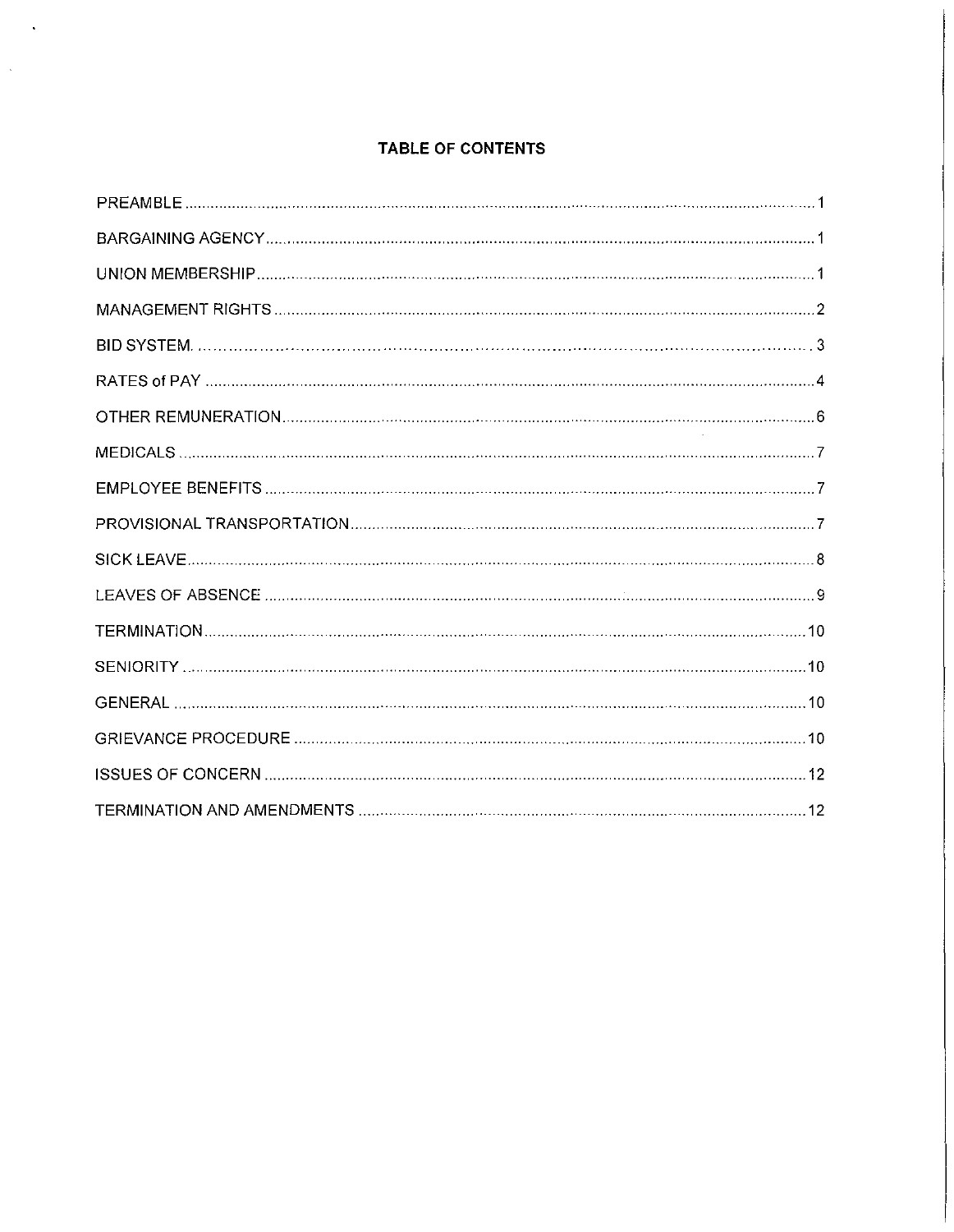# **TABLE OF CONTENTS**

 $\bar{\mathcal{A}}$ 

 $\hat{\mathcal{A}}$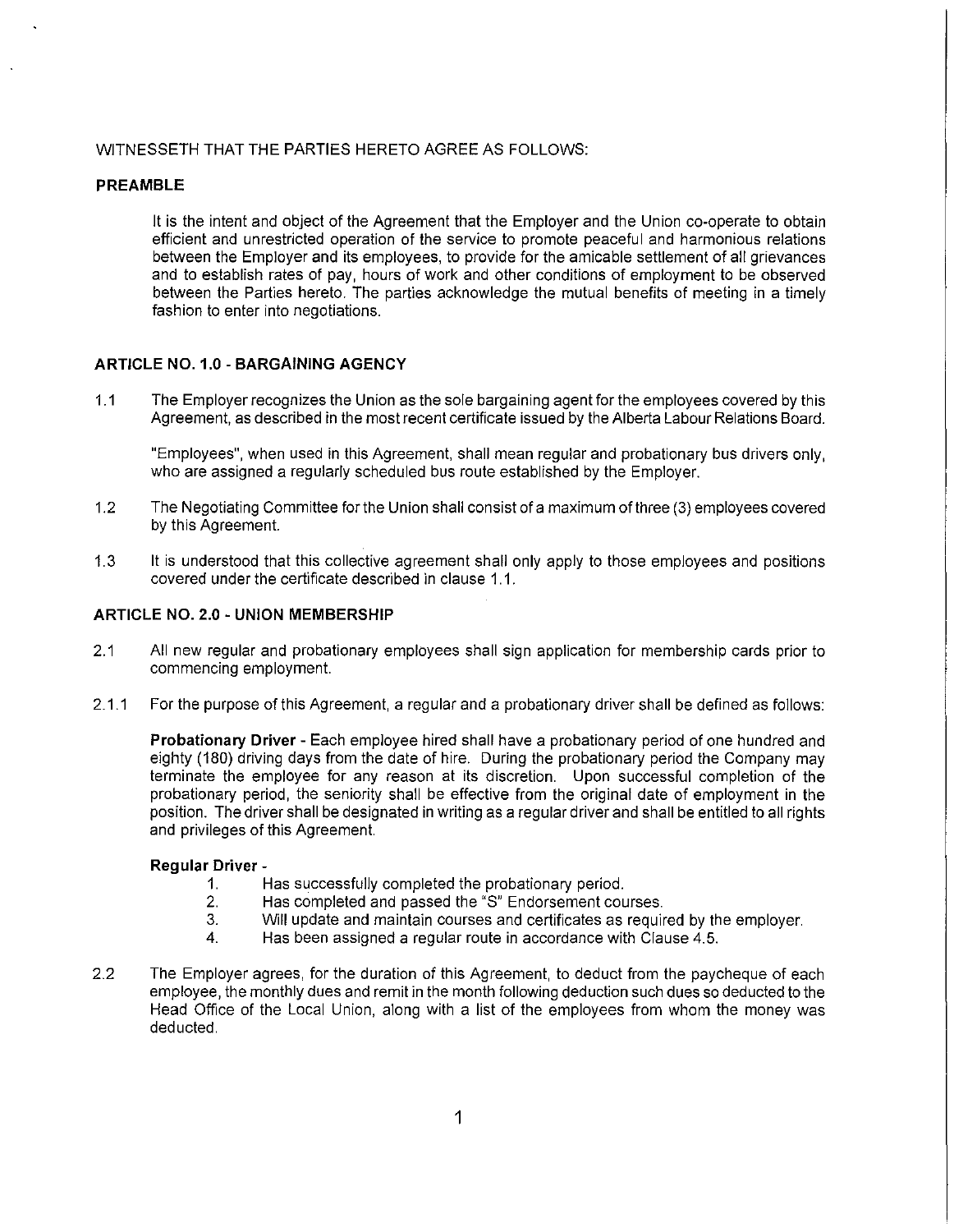# WITNESSETH THAT THE PARTIES HERETO AGREE AS FOLLOWS:

# **PREAMBLE**

It is the intent and object of the Agreement that the Employer and the Union co-operate to obtain efficient and unrestricted operation of the service to promote peaceful and harmonious relations between the Employer and its employees, to provide for the amicable settlement of all grievances and to establish rates of pay, hours of work and other conditions of employment to be observed between the Parties hereto. The parties acknowledge the mutual benefits of meeting in a timely fashion to enter into negotiations.

# **ARTICLE N0.1.0 -BARGAINING AGENCY**

1.1 The Employer recognizes the Union as the sole bargaining agent for the employees covered by this Agreement, as described in the most recent certificate issued by the Alberta Labour Relations Board.

"Employees", when used in this Agreement, shall mean regular and probationary bus drivers only, who are assigned a regularly scheduled bus route established by the Employer.

- 1.2 The Negotiating Committee for the Union shall consist of a maximum of three (3) employees covered by this Agreement.
- 1.3 It is understood that this collective agreement shall only apply to those employees and positions covered under the certificate described in clause 1.1.

# **ARTICLE NO. 2.0 - UNION MEMBERSHIP**

- 2.1 All new regular and probationary employees shall sign application for membership cards prior to commencing employment.
- 2.1.1 For the purpose of this Agreement, a regular and a probationary driver shall be defined as follows:

**Probationary Driver** - Each employee hired shall have a probationary period of one hundred and eighty (180) driving days from the date of hire. During the probationary period the Company may terminate the employee for any reason at its discretion. Upon successful completion of the probationary period, the seniority shall be effective from the original date of employment in the position. The driver shall be designated in writing as a regular driver and shall be entitled to all rights and privileges of this Agreement.

# **Regular Driver** -

- 1. Has successfully completed the probationary period.<br>2. Has completed and passed the "S" Endorsement cou
- Has completed and passed the "S" Endorsement courses.
- 3. Will update and maintain courses and certificates as required by the employer.
- 4. Has been assigned a regular route in accordance with Clause 4.5.
- 2.2 The Employer agrees, for the duration of this Agreement, to deduct from the paycheque of each employee, the monthly dues and remit in the month following deduction such dues so deducted to the Head Office of the Local Union, along with a list of the employees from whom the money was deducted.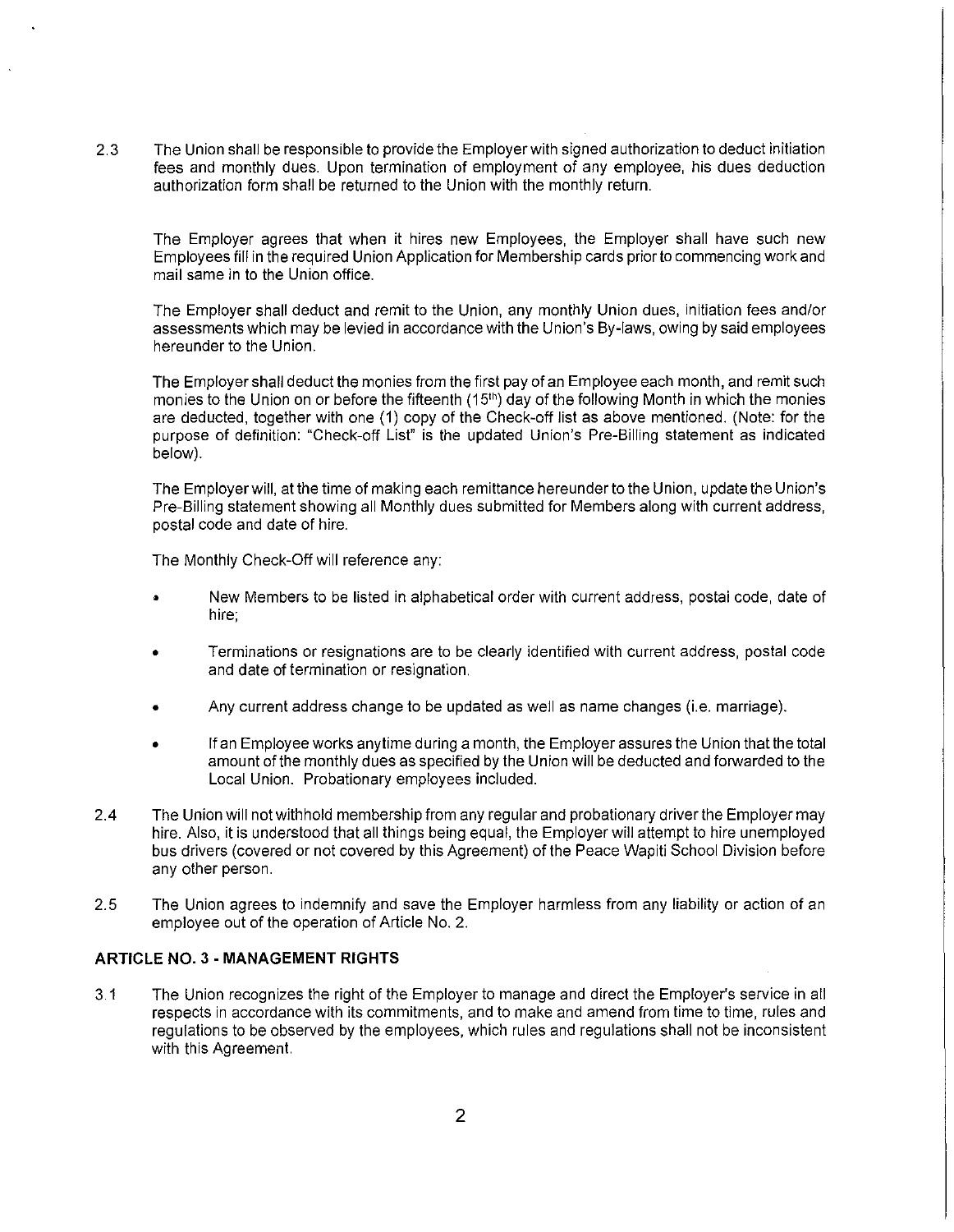2.3 The Union shall be responsible to provide the Employer with signed authorization to deduct initiation fees and monthly dues. Upon termination of employment of any employee, his dues deduction authorization form shall be returned to the Union with the monthly return.

The Employer agrees that when it hires new Employees, the Employer shall have such new Employees fill in the required Union Application for Membership cards prior to commencing work and mail same in to the Union office.

The Employer shall deduct and remit to the Union, any monthly Union dues, initiation fees and/or assessments which may be levied in accordance with the Union's By-laws, owing by said employees hereunder to the Union.

The Employer shall deduct the monies from the first pay of an Employee each month, and remit such monies to the Union on or before the fifteenth (15<sup>th</sup>) day of the following Month in which the monies are deducted, together with one (1) copy of the Check-off list as above mentioned. (Note: for the purpose of definition: "Check-off List" is the updated Union's Pre-Billing statement as indicated below).

The Employer will, at the time of making each remittance hereunder to the Union, update the Union's Pre-Billing statement showing all Monthly dues submitted for Members along with current address, postal code and date of hire.

The Monthly Check-Off will reference any:

- New Members to be listed in alphabetical order with current address, postai code, date of hire;
- Terminations or resignations are to be clearly identified with current address, postal code and date of termination or resignation.
- Any current address change to be updated as well as name changes (i.e. marriage).
- If an Employee works anytime during a month, the Employer assures the Union that the total amount of the monthly dues as specified by the Union will be deducted and forwarded to the Local Union. Probationary employees included.
- 2.4 The Union will not withhold membership from any regular and probationary driver the Employer may hire. Also, it is understood that all things being equal, the Employer will attempt to hire unemployed bus drivers (covered or not covered by this Agreement) of the Peace Wapiti School Division before any other person.
- 2.5 The Union agrees to indemnify and save the Employer harmless from any liability or action of an employee out of the operation of Article No. 2.

# **ARTICLE NO.** 3 - **MANAGEMENT RIGHTS**

3.1 The Union recognizes the right of the Employer to manage and direct the Employer's service in all respects in accordance with its commitments, and to make and amend from time to time, rules and regulations to be observed by the employees, which rules and regulations shall not be inconsistent with this Agreement.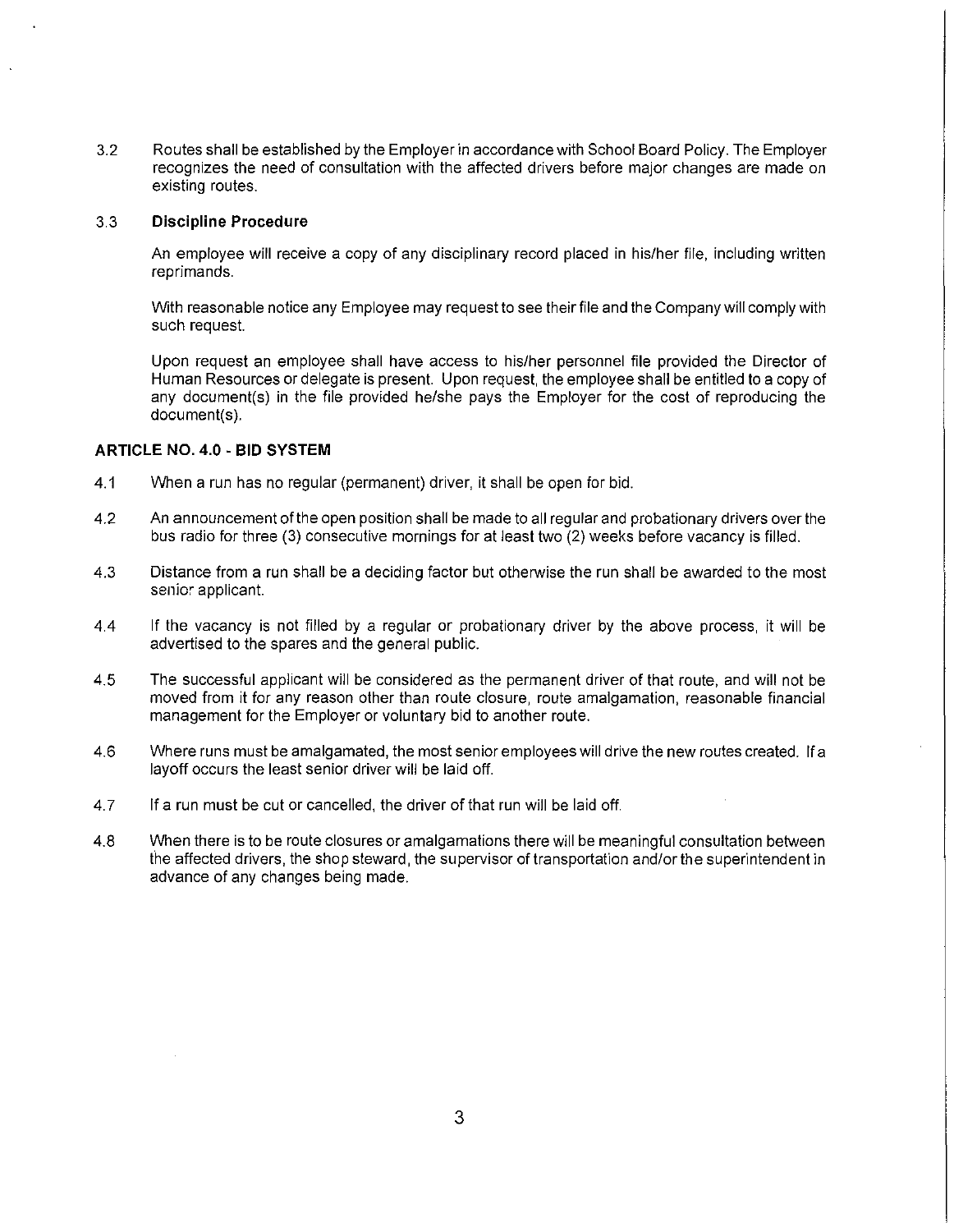3.2 Routes shall be established by the Employer in accordance with School Board Policy. The Employer recognizes the need of consultation with the affected drivers before major changes are made on existing routes.

#### 3.3 **Discipline Procedure**

An employee will receive a copy of any disciplinary record placed in his/her file, including written reprimands.

With reasonable notice any Employee may request to see their file and the Company will comply with such request.

Upon request an employee shall have access to his/her personnel file provided the Director of Human Resources or delegate is present. Upon request, the employee shall be entitled to a copy of any document(s) in the file provided he/she pays the Employer for the cost of reproducing the document(s).

#### **ARTICLE NO. 4.0 - BID SYSTEM**

- 4.1 When a run has no regular (permanent) driver, it shall be open for bid.
- 4.2 An announcement of the open position shall be made to all regular and probationary drivers over the bus radio for three (3) consecutive mornings for at least two (2) weeks before vacancy is filled.
- 4.3 Distance from a run shall be a deciding factor but otherwise the run shall be awarded to the most senior applicant.
- 4.4 If the vacancy is not filled by a regular or probationary driver by the above process, it will be advertised to the spares and the general public.
- 4.5 The successful applicant will be considered as the permanent driver of that route, and will not be moved from it for any reason other than route closure, route amalgamation, reasonable financial management for the Employer or voluntary bid to another route.
- 4.6 Where runs must be amalgamated, the most senior employees will drive the new routes created. If a layoff occurs the least senior driver will be laid off.
- 4.7 If a run must be cut or cancelled, the driver of that run will be laid off.
- 4.8 When there is to be route closures or amalgamations there will be meaningful consultation between the affected drivers, the shop steward, the supervisor of transportation and/or the superintendent in advance of any changes being made.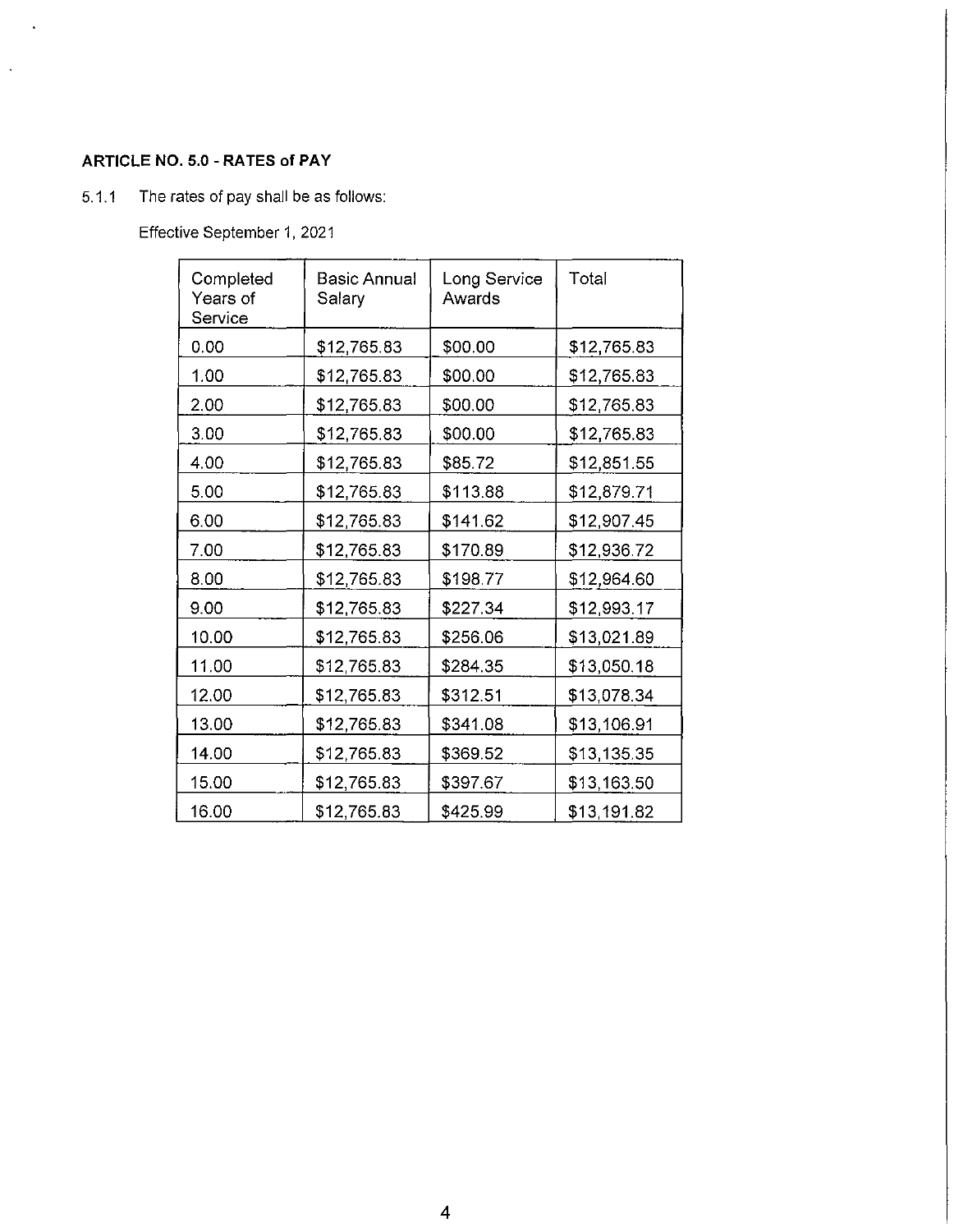# **ARTICLE NO.** 5.0 - **RATES of PAY**

 $\sim$   $\sim$ 

 $\hat{\mathbf{v}}$ 

# 5.1.1 The rates of pay shall be as follows:

Effective September 1, 2021

| Completed<br>Years of<br>Service | <b>Basic Annual</b><br>Salary | Long Service<br>Awards | Total       |
|----------------------------------|-------------------------------|------------------------|-------------|
| 0.00                             | \$12,765.83                   | \$00.00                | \$12,765.83 |
| 1.00                             | \$12,765.83                   | \$00.00                | \$12,765.83 |
| 2.00                             | \$12,765.83                   | \$00.00                | \$12,765.83 |
| 3.00                             | \$12,765.83                   | \$00.00                | \$12,765.83 |
| 4.00                             | \$12,765.83                   | \$85.72                | \$12,851.55 |
| 5.00                             | \$12,765.83                   | \$113.88               | \$12,879.71 |
| 6.00                             | \$12,765.83                   | \$141.62               | \$12,907.45 |
| 7.00                             | \$12,765.83                   | \$170.89               | \$12,936.72 |
| 8.00                             | \$12,765.83                   | \$198.77               | \$12,964.60 |
| 9.00                             | \$12,765.83                   | \$227.34               | \$12,993.17 |
| 10.00                            | \$12,765.83                   | \$256.06               | \$13,021.89 |
| 11.00                            | \$12,765.83                   | \$284.35               | \$13,050.18 |
| 12.00                            | \$12,765.83                   | \$312.51               | \$13,078.34 |
| 13.00                            | \$12,765.83                   | \$341.08               | \$13,106.91 |
| 14.00                            | \$12,765.83                   | \$369.52               | \$13,135.35 |
| 15.00                            | \$12,765.83                   | \$397.67               | \$13,163.50 |
| 16.00                            | \$12,765.83                   | \$425.99               | \$13,191.82 |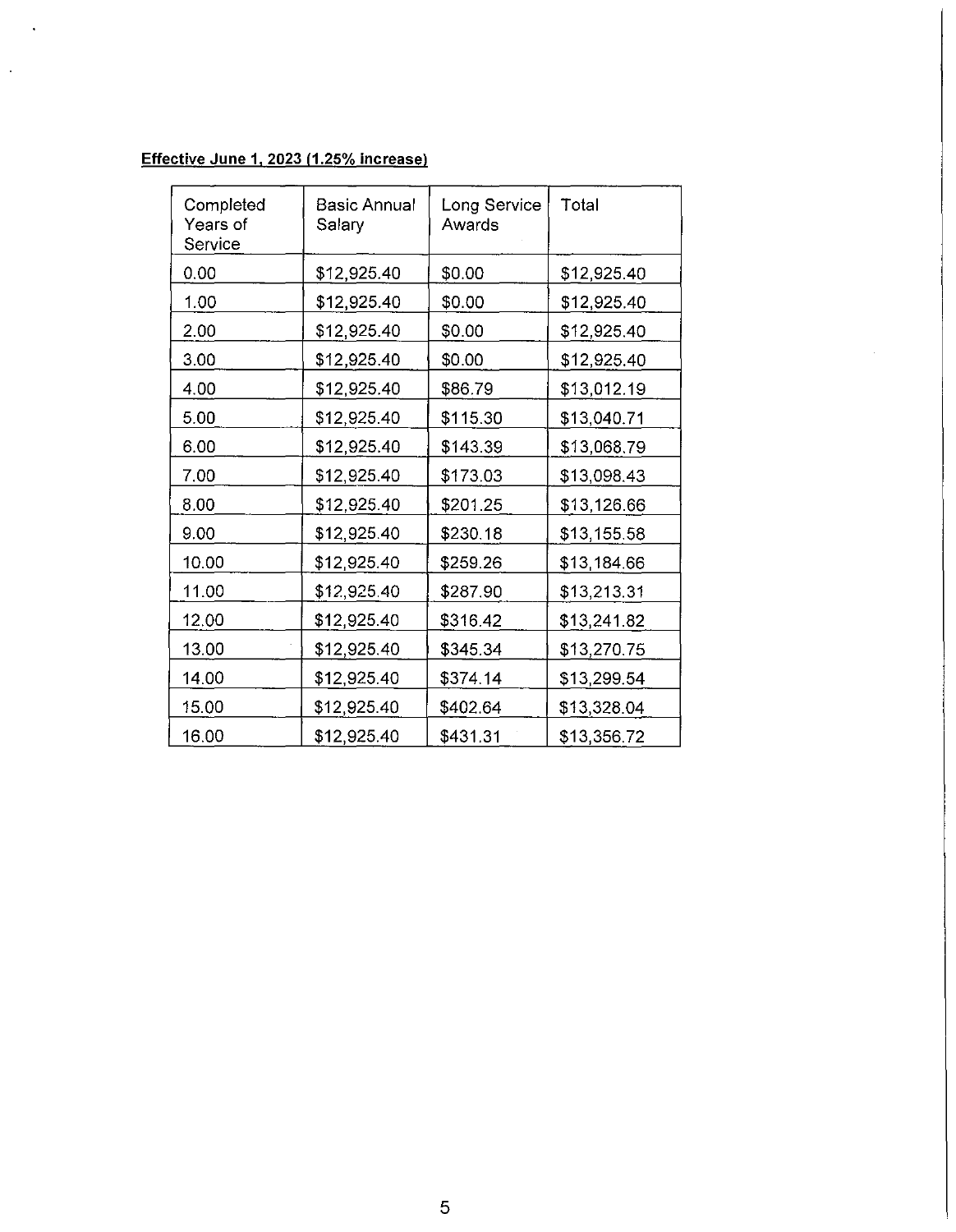# **Effective June 1, 2023 (1.25% increase)**

 $\ddot{\phantom{1}}$ 

 $\ddot{\phantom{a}}$ 

| Completed<br>Years of<br>Service | <b>Basic Annual</b><br>Salary | Long Service<br>Awards | Total       |
|----------------------------------|-------------------------------|------------------------|-------------|
| 0.00                             | \$12,925.40                   | \$0.00                 | \$12,925.40 |
| 1.00                             | \$12,925.40                   | \$0.00                 | \$12,925.40 |
| 2.00                             | \$12,925.40                   | \$0.00                 | \$12,925.40 |
| 3.00                             | \$12,925.40                   | \$0.00                 | \$12,925.40 |
| 4.00                             | \$12,925.40                   | \$86.79                | \$13,012.19 |
| 5.00                             | \$12,925.40                   | \$115.30               | \$13,040.71 |
| 6.00                             | \$12,925.40                   | \$143.39               | \$13,068.79 |
| 7.00                             | \$12,925.40                   | \$173.03               | \$13,098.43 |
| 8.00                             | \$12,925.40                   | \$201.25               | \$13,126.66 |
| 9.00                             | \$12,925.40                   | \$230.18               | \$13,155.58 |
| 10.00                            | \$12,925.40                   | \$259.26               | \$13,184.66 |
| 11.00                            | \$12,925.40                   | \$287.90               | \$13,213.31 |
| 12.00                            | \$12,925.40                   | \$316.42               | \$13,241.82 |
| 13.00                            | \$12,925.40                   | \$345.34               | \$13,270.75 |
| 14.00                            | \$12,925.40                   | \$374.14               | \$13,299.54 |
| 15.00                            | \$12,925.40                   | \$402.64               | \$13,328.04 |
| 16.00                            | \$12,925.40                   | \$431.31               | \$13,356.72 |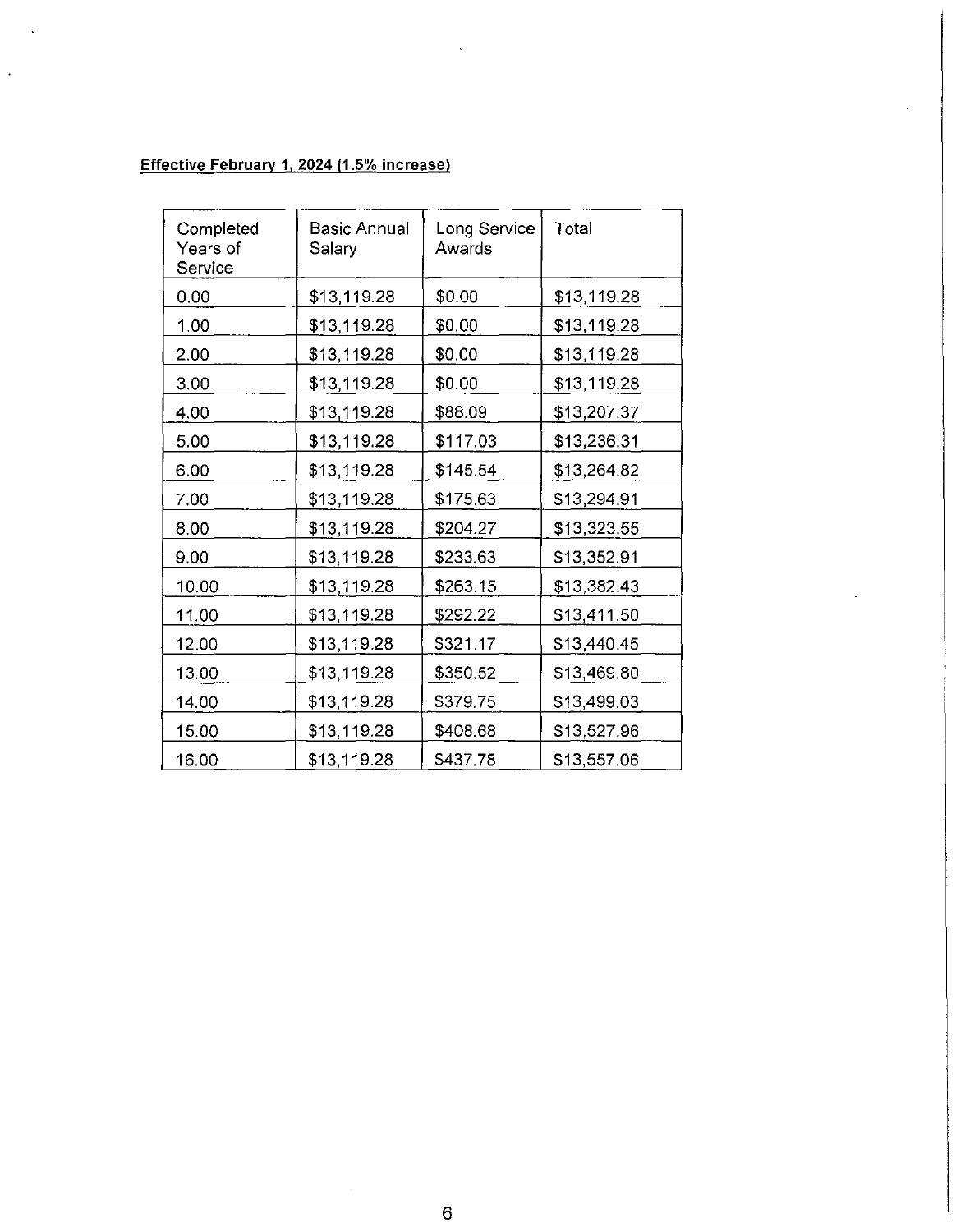# **Effective February 1, 2024 (1.5% increase)**

 $\ddot{\phantom{a}}$ 

 $\ddot{\phantom{0}}$ 

| Completed<br>Years of<br>Service | Basic Annual<br>Salary | Long Service<br>Awards | Total       |
|----------------------------------|------------------------|------------------------|-------------|
| 0.00                             | \$13,119.28            | \$0.00                 | \$13,119.28 |
| 1.00                             | \$13,119.28            | \$0.00                 | \$13,119.28 |
| 2.00                             | \$13,119.28            | \$0.00                 | \$13,119.28 |
| 3.00                             | \$13,119.28            | \$0.00                 | \$13,119.28 |
| 4.00                             | \$13,119.28            | \$88.09                | \$13,207.37 |
| 5.00                             | \$13,119.28            | \$117.03               | \$13,236.31 |
| 6.00                             | \$13,119.28            | \$145.54               | \$13,264.82 |
| 7.00                             | \$13,119.28            | \$175.63               | \$13,294.91 |
| 8.00                             | \$13,119.28            | \$204.27               | \$13,323.55 |
| 9.00                             | \$13,119.28            | \$233.63               | \$13,352.91 |
| 10.00                            | \$13,119.28            | \$263.15               | \$13,382.43 |
| 11.00                            | \$13,119.28            | \$292.22               | \$13,411.50 |
| 12.00                            | \$13,119.28            | \$321.17               | \$13,440.45 |
| 13.00                            | \$13,119.28            | \$350.52               | \$13,469.80 |
| 14.00                            | \$13,119.28            | \$379.75               | \$13,499.03 |
| 15.00                            | \$13,119.28            | \$408.68               | \$13,527.96 |
| 16.00                            | \$13,119.28            | \$437.78               | \$13,557.06 |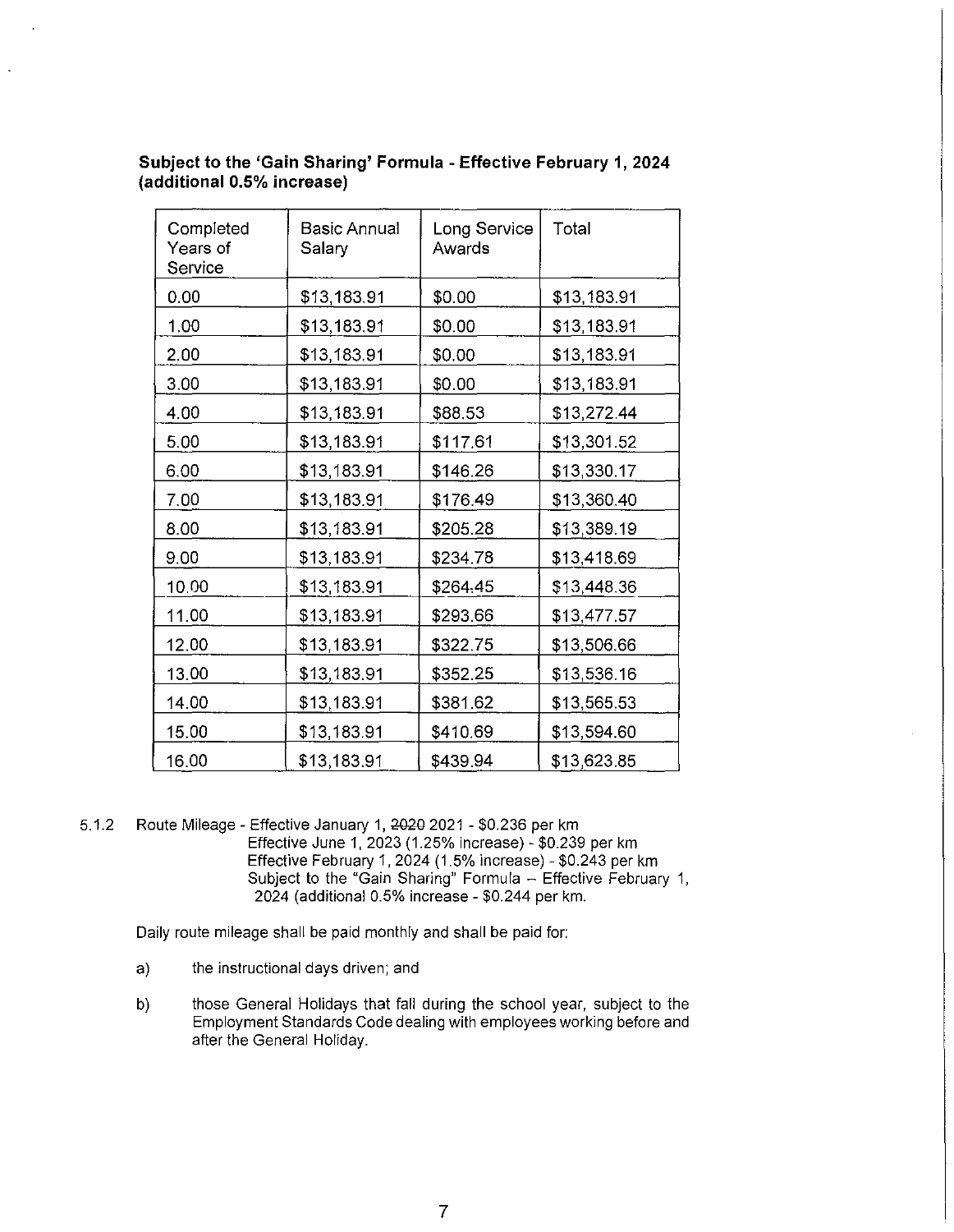| Completed<br>Years of<br>Service | Basic Annual<br>Salary | Long Service<br>Awards | Total       |
|----------------------------------|------------------------|------------------------|-------------|
| 0.00                             | \$13,183.91            | \$0.00                 | \$13,183.91 |
| 1.00                             | \$13,183.91            | \$0.00                 | \$13,183.91 |
| 2.00                             | \$13,183.91            | \$0.00                 | \$13,183.91 |
| 3.00                             | \$13,183.91            | \$0.00                 | \$13,183.91 |
| 4.00                             | \$13,183.91            | \$88.53                | \$13,272.44 |
| 5.00                             | \$13,183.91            | \$117.61               | \$13,301.52 |
| 6.00                             | \$13,183.91            | \$146.26               | \$13,330.17 |
| 7.00                             | \$13,183.91            | \$176.49               | \$13,360.40 |
| 8.00                             | \$13,183.91            | \$205.28               | \$13,389.19 |
| 9.00                             | \$13,183.91            | \$234.78               | \$13,418.69 |
| 10.00                            | \$13,183.91            | \$264.45               | \$13,448.36 |
| 11.00                            | \$13,183.91            | \$293.66               | \$13,477.57 |
| 12.00                            | \$13,183.91            | \$322.75               | \$13,506.66 |
| 13.00                            | \$13,183.91            | \$352.25               | \$13,536.16 |
| 14.00                            | \$13,183.91            | \$381.62               | \$13,565.53 |
| 15.00                            | \$13,183.91            | \$410.69               | \$13,594.60 |
| 16.00                            | \$13,183.91            | \$439.94               | \$13,623.85 |

# **Subject to the 'Gain Sharing' Formula - Effective February 1, 2024 (additional 0.5% increase)**

5.1.2 Route Mileage - Effective January 1, 2020 2021 - \$0.236 per km Effective June 1, 2023 (1.25% increase) - \$0.239 per km Effective February 1, 2024 (1.5% increase) - \$0.243 per km Subject to the "Gain Sharing" Formula - Effective February 1, 2024 (additional 0.5% increase - \$0.244 per km.

Daily route mileage shall be paid monthly and shall be paid for:

- a) the instructional days driven; and
- b) those General Holidays that fall during the school year, subject to the Employment Standards Code dealing with employees working before and after the General Holiday.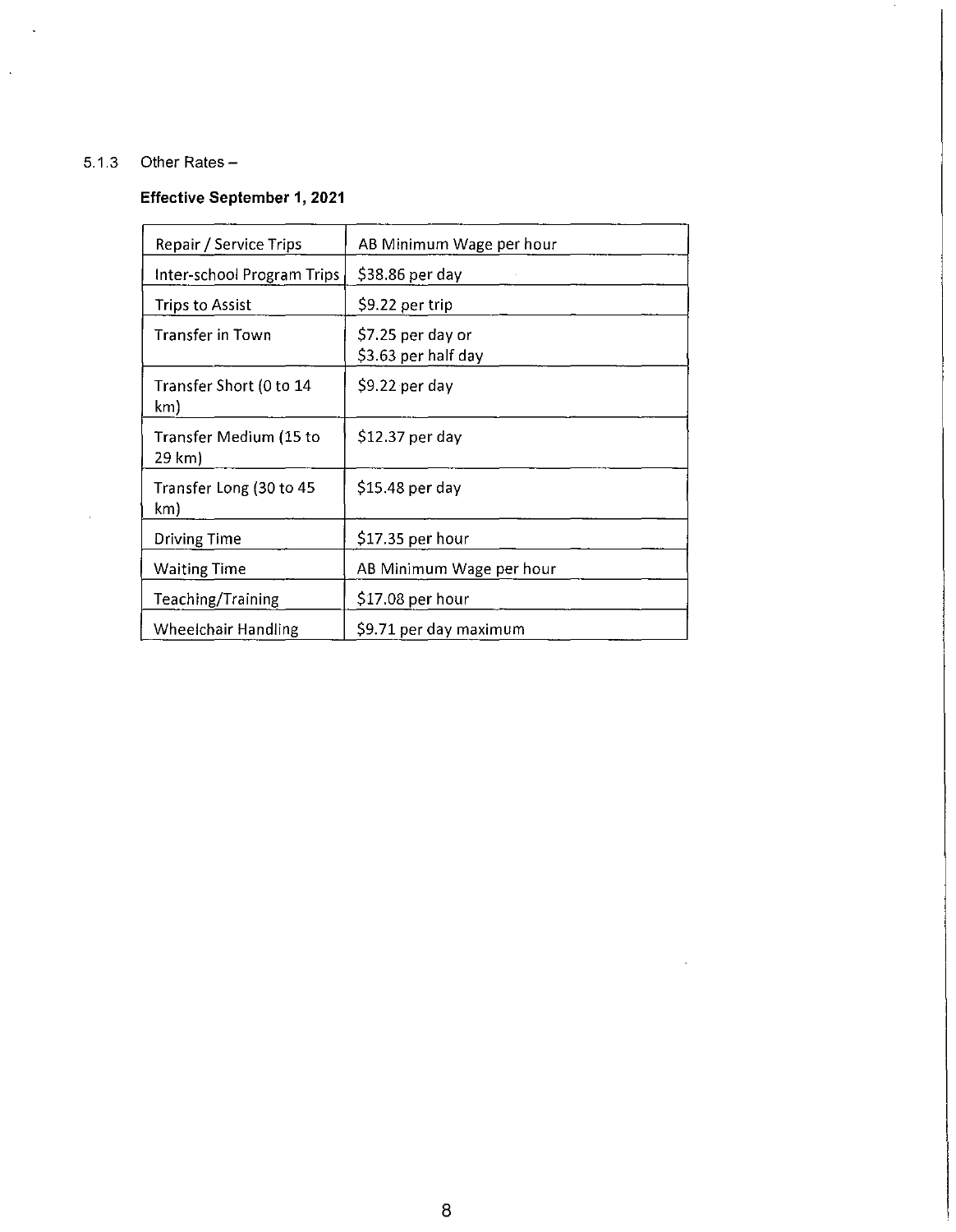# 5.1.3 Other Rates -

 $\overline{\phantom{a}}$ 

 $\bar{\mathcal{A}}$ 

 $\mathcal{L}$ 

# **Effective September 1, 2021**

| Repair / Service Trips           | AB Minimum Wage per hour                 |
|----------------------------------|------------------------------------------|
| Inter-school Program Trips       | $$38.86$ per day                         |
| Trips to Assist                  | \$9.22 per trip                          |
| Transfer in Town                 | \$7.25 per day or<br>\$3.63 per half day |
| Transfer Short (0 to 14<br>km)   | $$9.22$ per day                          |
| Transfer Medium (15 to<br>29 km) | \$12.37 per day                          |
| Transfer Long (30 to 45<br>km)   | $$15.48$ per day                         |
| Driving Time                     | \$17.35 per hour                         |
| <b>Waiting Time</b>              | AB Minimum Wage per hour                 |
| Teaching/Training                | \$17.08 per hour                         |
| Wheelchair Handling              | \$9.71 per day maximum                   |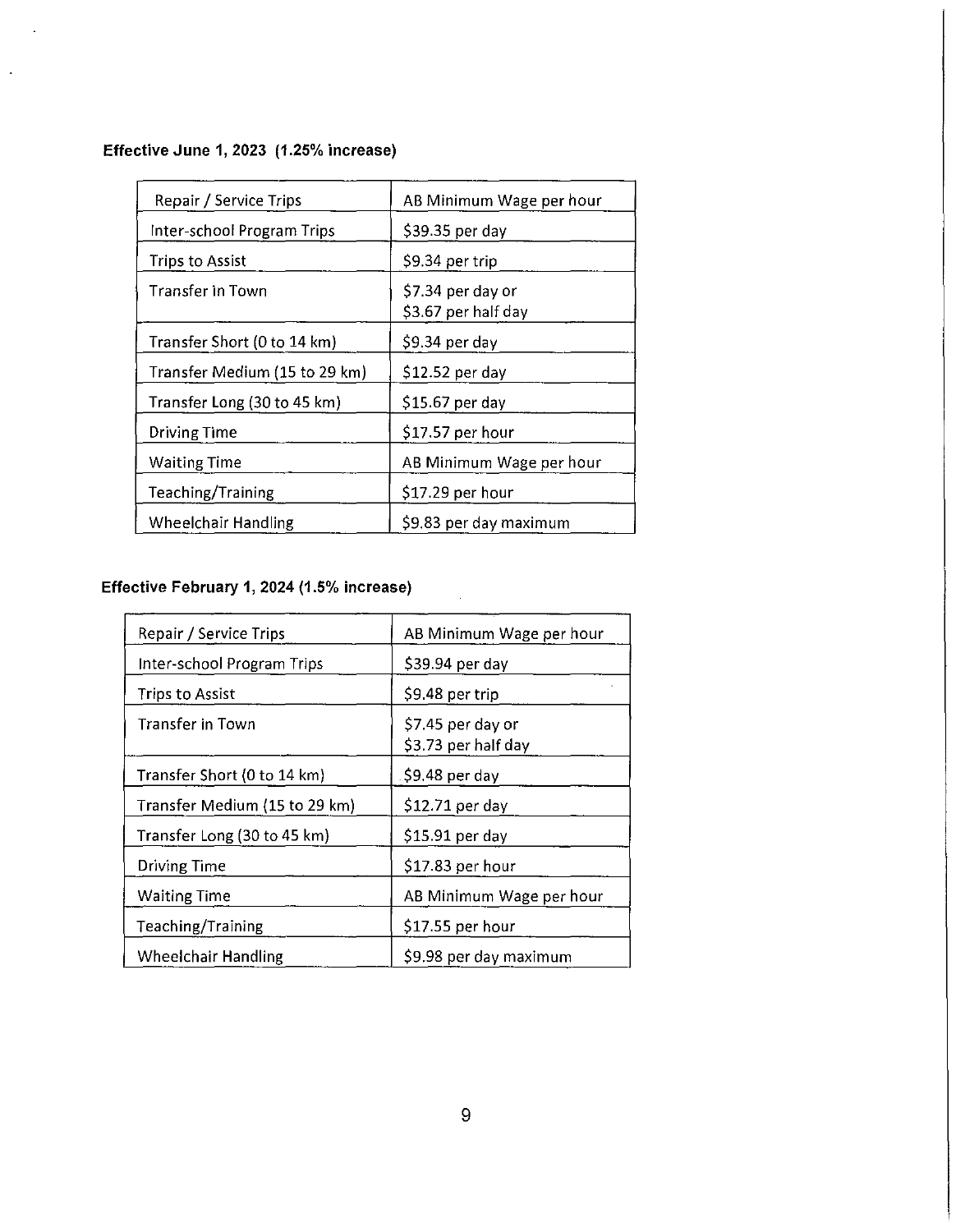**Effective June 1, 2023 (1.25% increase)** 

 $\ddot{\phantom{a}}$ 

 $\ddot{\phantom{0}}$ 

| Repair / Service Trips        | AB Minimum Wage per hour                 |
|-------------------------------|------------------------------------------|
| Inter-school Program Trips    | \$39.35 per day                          |
| Trips to Assist               | S9.34 per trip                           |
| Transfer in Town              | \$7.34 per day or<br>\$3.67 per half day |
| Transfer Short (0 to 14 km)   | \$9.34 per day                           |
| Transfer Medium (15 to 29 km) | \$12.52 per day                          |
| Transfer Long (30 to 45 km)   | \$15.67 per day                          |
| <b>Driving Time</b>           | \$17.57 per hour                         |
| <b>Waiting Time</b>           | AB Minimum Wage per hour                 |
| Teaching/Training             | $$17.29$ per hour                        |
| <b>Wheelchair Handling</b>    | \$9.83 per day maximum                   |

# **Effective February 1, 2024 (1.5% increase)**

| Repair / Service Trips        | AB Minimum Wage per hour                 |
|-------------------------------|------------------------------------------|
| Inter-school Program Trips    | \$39.94 per day                          |
| <b>Trips to Assist</b>        | S9.48 per trip                           |
| Transfer in Town              | \$7.45 per day or<br>\$3.73 per half day |
| Transfer Short (0 to 14 km)   | \$9.48 per day                           |
| Transfer Medium (15 to 29 km) | \$12.71 per day                          |
| Transfer Long (30 to 45 km)   | \$15.91 per day                          |
| Driving Time                  | \$17.83 per hour                         |
| <b>Waiting Time</b>           | AB Minimum Wage per hour                 |
| Teaching/Training             | \$17.55 per hour                         |
| <b>Wheelchair Handling</b>    | \$9.98 per day maximum                   |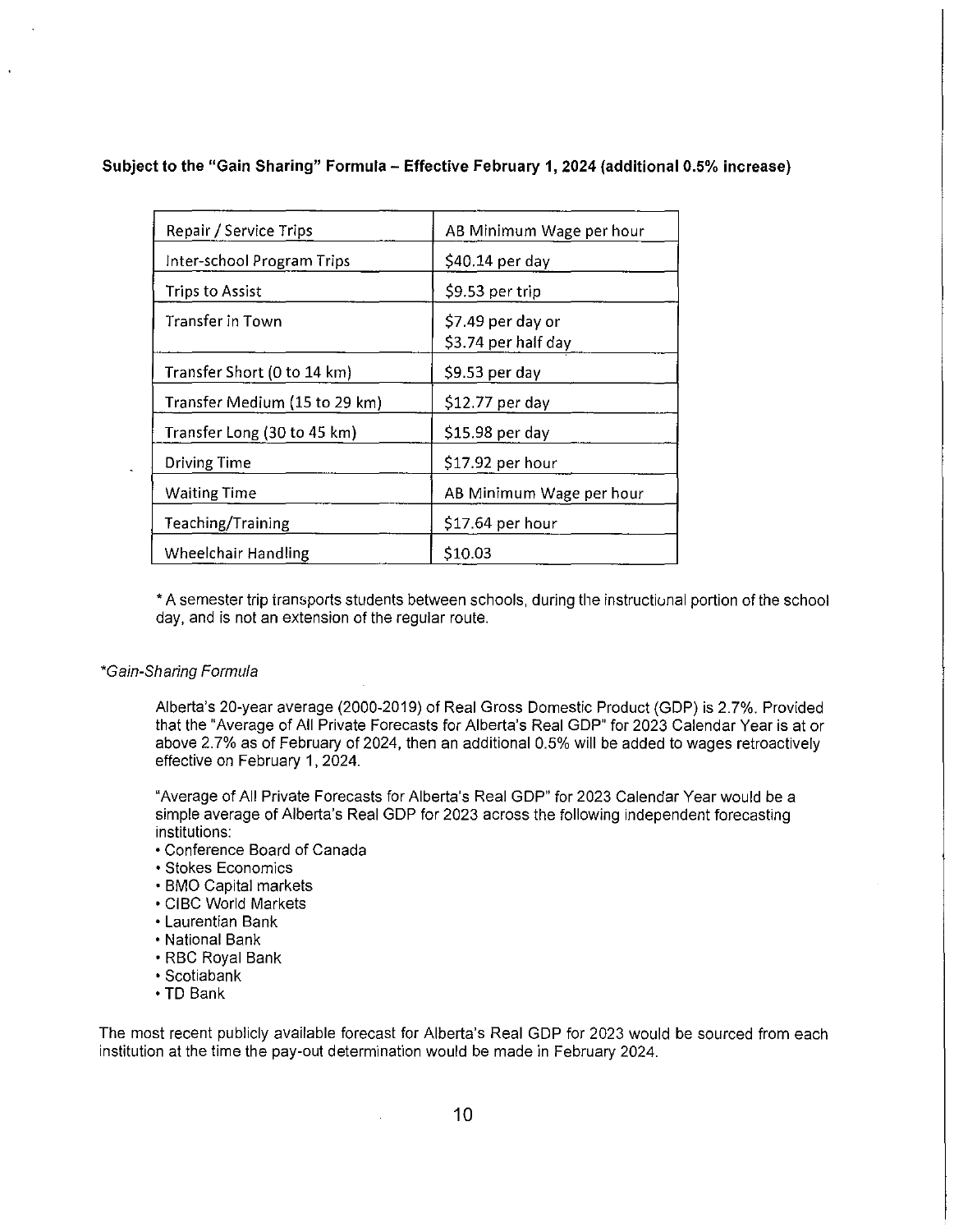# **Subject to the "Gain Sharing" Formula - Effective February 1, 2024 (additional 0.5% increase)**

| Repair / Service Trips        | AB Minimum Wage per hour                |
|-------------------------------|-----------------------------------------|
| Inter-school Program Trips    | \$40.14 per day                         |
| <b>Trips to Assist</b>        | \$9.53 per trip                         |
| <b>Transfer in Town</b>       | \$7.49 per day or<br>S3.74 per half day |
| Transfer Short (0 to 14 km)   | \$9.53 per day                          |
| Transfer Medium (15 to 29 km) | \$12.77 per day                         |
| Transfer Long (30 to 45 km)   | \$15.98 per day                         |
| <b>Driving Time</b>           | \$17.92 per hour                        |
| <b>Waiting Time</b>           | AB Minimum Wage per hour                |
| Teaching/Training             | \$17.64 per hour                        |
| Wheelchair Handling           | \$10.03                                 |

\* A semester trip transports students between schools, during the instructional portion of the school day, and is not an extension of the regular route.

# \*Gain-Sharing Formula

Alberta's 20-year average (2000-2019) of Real Gross Domestic Product (GDP) is 2.7%. Provided that the "Average of All Private Forecasts for Alberta's Real GDP" for 2023 Calendar Year is at or above 2. 7% as of February of 2024, then an additional 0.5% will be added to wages retroactively effective on February **1,** 2024.

"Average of All Private Forecasts for Alberta's Real GDP" for 2023 Calendar Year would be a simple average of Alberta's Real GDP for 2023 across the following independent forecasting institutions:

- Conference Board of Canada
- Stokes Economics
- BMO Capital markets
- CIBC World Markets
- Laurentian Bank
- National Bank
- RBC Royal Bank
- Scotiabank
- **•TD** Bank

The most recent publicly available forecast for Alberta's Real GDP for 2023 would be sourced from each institution at the time the pay-out determination would be made in February 2024.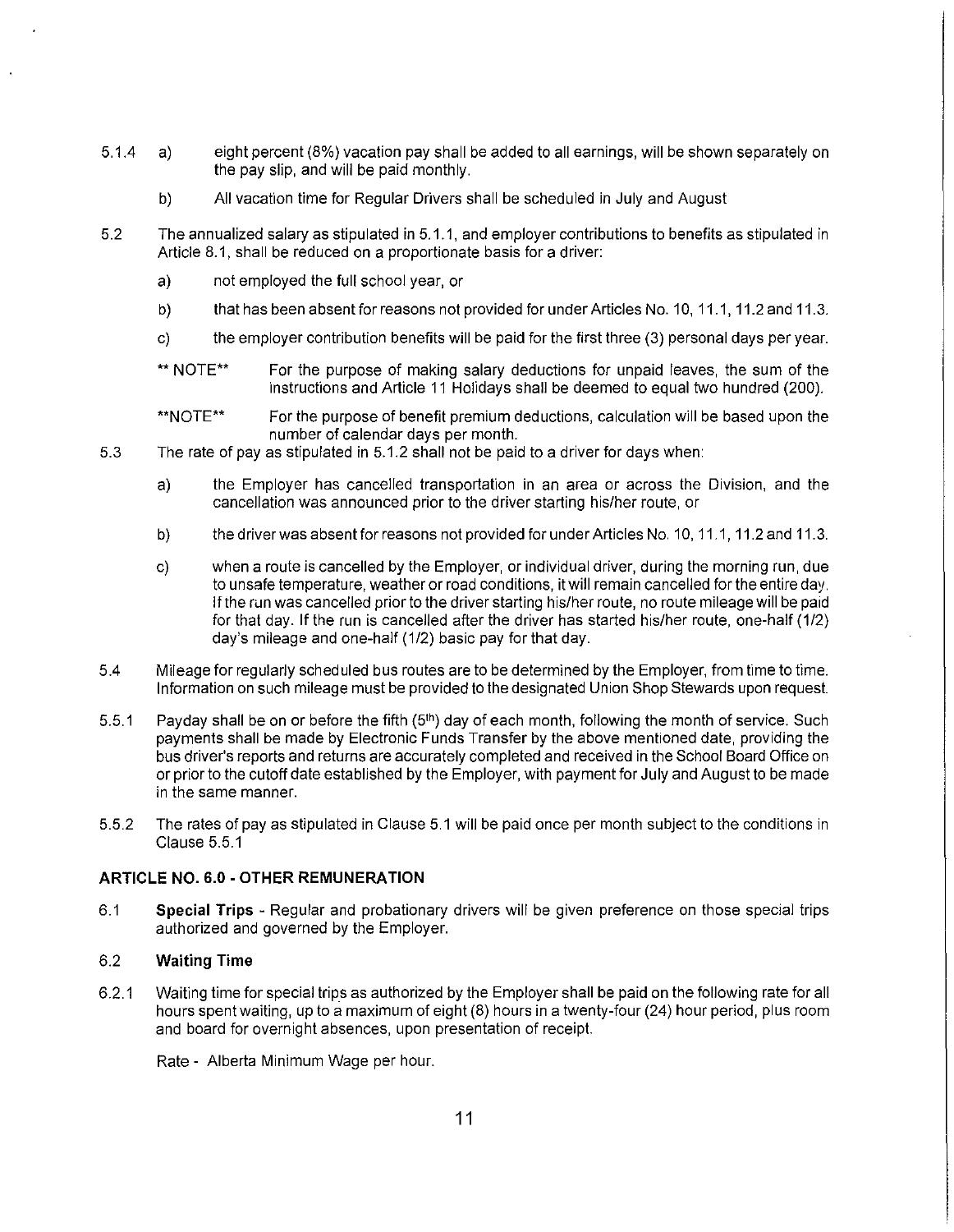- 5.1.4 a) eight percent (8%) vacation pay shall be added to all earnings, will be shown separately on the pay slip, and will be paid monthly.
	- b) All vacation time for Regular Drivers shall be scheduled in July and August
- 5.2 The annualized salary as stipulated in 5.1.1, and employer contributions to benefits as stipulated in Article 8.1, shall be reduced on a proportionate basis for a driver:
	- a) not employed the full school year, or
	- b) that has been absent for reasons not provided for under Articles No. 10, 11.1, 11.2 and 11.3.
	- c) the employer contribution benefits will be paid for the first three (3) personal days per year.
	- \*\* NOTE\*\* For the purpose of making salary deductions for unpaid leaves, the sum of the instructions and Article 11 Holidays shall be deemed to equal two hundred (200).
	- \*\*NOTE\*\* For the purpose of benefit premium deductions, calculation will be based upon the number of calendar days per month.
- 5.3 The rate of pay as stipulated in 5.1.2 shall not be paid to a driver for days when:
	- a) the Employer has cancelled transportation in an area or across the Division, and the cancellation was announced prior to the driver starting his/her route, or
	- b) the driver was absent for reasons not provided for under Articles No. 10, 11.1, 11.2 and 11.3.
	- c) when a route is cancelled by the Employer, or individual driver, during the morning run, due to unsafe temperature, weather or road conditions, it will remain cancelled for the entire day. If the run was cancelled prior to the driver starting his/her route, no route mileage will be paid for that day. If the run is cancelled after the driver has started his/her route, one-half (1/2) day's mileage and one-half (1/2) basic pay for that day.
- 5.4 Mileage for regularly scheduled bus routes are to be determined by the Employer, from time to time. Information on such mileage must be provided to the designated Union Shop Stewards upon request.
- 5.5.1 Payday shall be on or before the fifth (5<sup>th</sup>) day of each month, following the month of service. Such payments shall be made by Electronic Funds Transfer by the above mentioned date, providing the bus driver's reports and returns are accurately completed and received in the School Board Office on or prior to the cutoff date established by the Employer, with payment for July and August to be made in the same manner.
- 5.5.2 The rates of pay as stipulated in Clause 5.1 will be paid once per month subject to the conditions in Clause 5.5.1

# **ARTICLE NO. 6.0 -OTHER REMUNERATION**

6.1 **Special Trips** - Regular and probationary drivers will be given preference on those special trips authorized and governed by the Employer.

# 6.2 **Waiting Time**

6.2.1 Waiting time for special trips as authorized by the Employer shall be paid on the following rate for all hours spent waiting, up to a maximum of eight (8) hours in a twenty-four (24) hour period, plus room and board for overnight absences, upon presentation of receipt.

Rate - Alberta Minimum Wage per hour.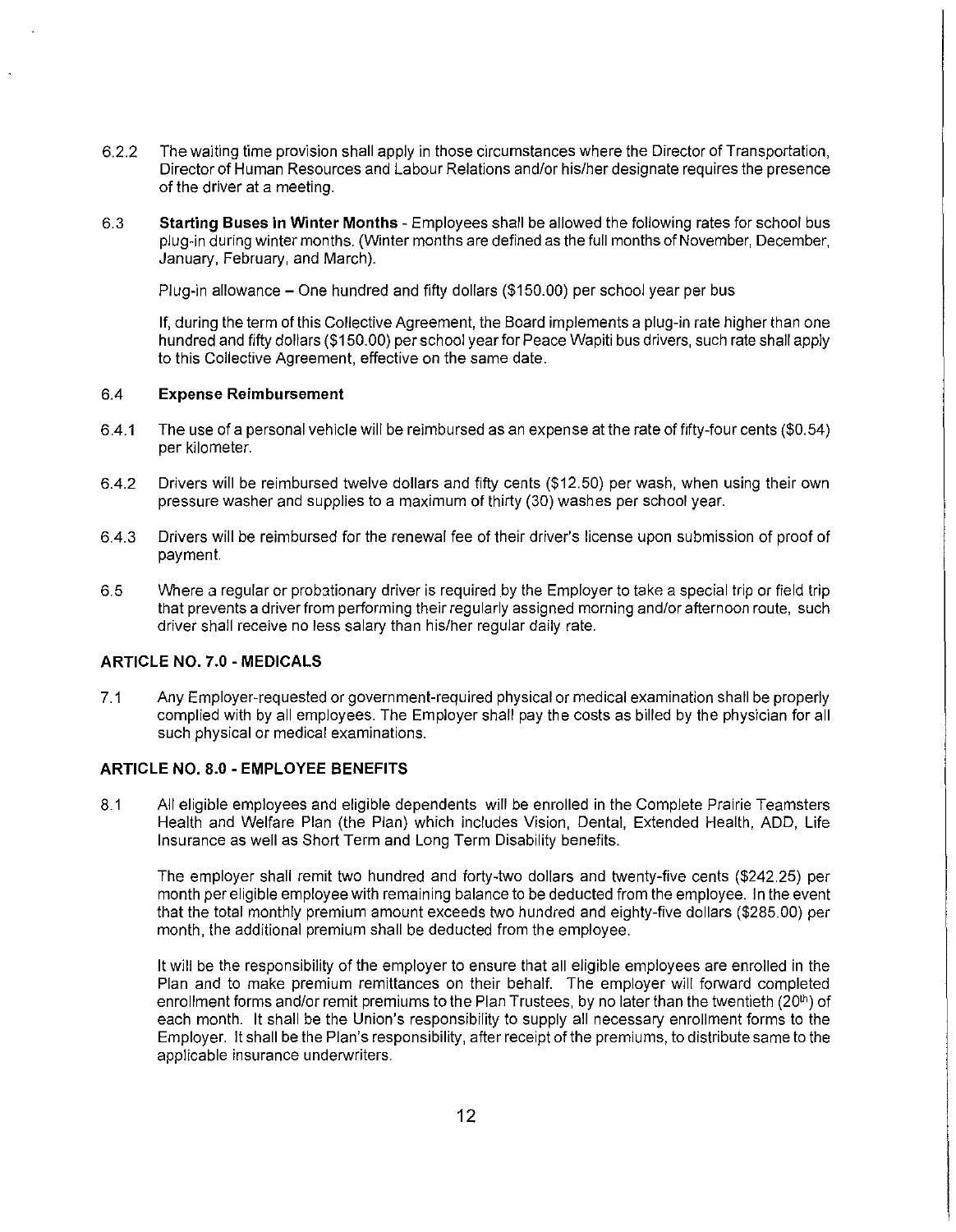- 6.2.2 The waiting time provision shall apply in those circumstances where the Director of Transportation, Director of Human Resources and Labour Relations and/or his/her designate requires the presence of the driver at a meeting.
- 6.3 **Starting Buses in Winter Months**  Employees shall be allowed the following rates for school bus plug-in during winter months. (Winter months are defined as the full months of November, December, January, February, and March).

Plug-in allowance - One hundred and fifty dollars (\$150.00) per school year per bus

If, during the term of this Collective Agreement, the Board implements a plug-in rate higher than one hundred and fifty dollars (\$150.00) per school year for Peace Wapiti bus drivers, such rate shall apply to this Collective Agreement, effective on the same date.

# 6.4 **Expense Reimbursement**

- 6.4.1 The use of a personal vehicle will be reimbursed as an expense at the rate of fifty-four cents (\$0.54) per kilometer.
- 6.4.2 Drivers will be reimbursed twelve dollars and fifty cents (\$12.50) per wash, when using their own pressure washer and supplies to a maximum of thirty (30) washes per school year.
- 6.4.3 Drivers will be reimbursed for the renewal fee of their driver's license upon submission of proof of payment.
- 6.5 Where a regular or probationary driver is required by the Employer to take a special trip or field trip that prevents a driver from performing their regularly assigned morning and/or afternoon route, such driver shall receive no less salary than his/her regular daily rate.

# **ARTICLE NO. 7.0 - MEDICALS**

7.1 Any Employer-requested or government-required physical or medical examination shall be properly complied with by all employees. The Employer shall pay the costs as billed by the physician for all such physical or medical examinations.

# **ARTICLE NO. 8.0 - EMPLOYEE BENEFITS**

8.1 All eligible employees and eligible dependents will be enrolled in the Complete Prairie Teamsters Health and Welfare Plan (the Plan) which includes Vision, Dental, Extended Health, ADD, Life Insurance as well as Short Term and Long Term Disability benefits.

The employer shall remit two hundred and forty-two dollars and twenty-five cents (\$242.25) per month per eligible employee with remaining balance to be deducted from the employee. In the event that the total monthly premium amount exceeds two hundred and eighty-five dollars (\$285.00) per month, the additional premium shall be deducted from the employee.

It will be the responsibility of the employer to ensure that all eligible employees are enrolled in the Plan and to make premium remittances on their behalf. The employer will forward completed enrollment forms and/or remit premiums to the Plan Trustees, by no later than the twentieth (20<sup>th</sup>) of each month. It shall be the Union's responsibility to supply all necessary enrollment forms to the Employer. It shall be the Plan's responsibility, after receipt of the premiums, to distribute same to the applicable insurance underwriters.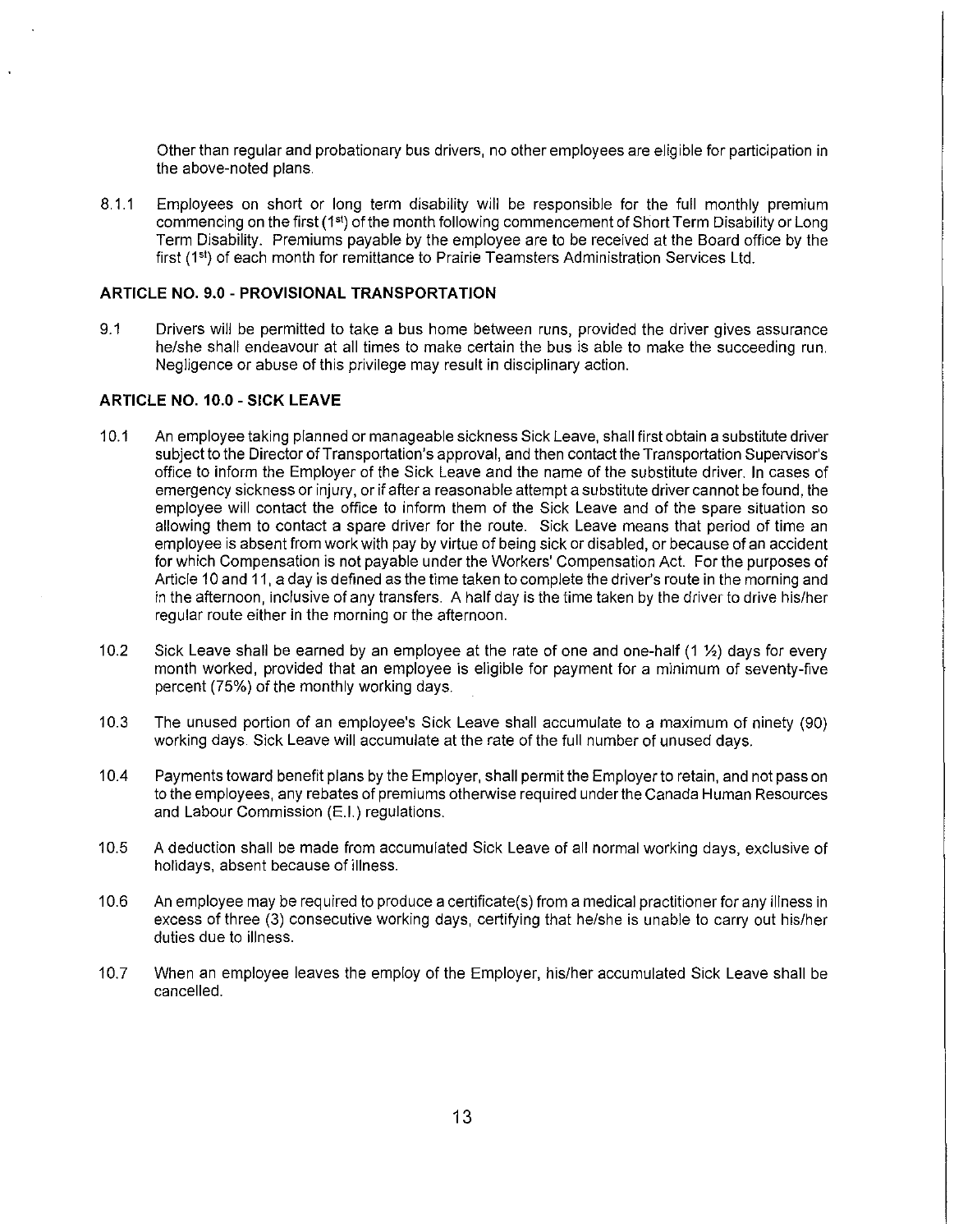Other than regular and probationary bus drivers, no other employees are eligible for participation in the above-noted plans.

8.1.1 Employees on short or long term disability will be responsible for the full monthly premium commencing on the first (1") of the month following commencement of Short Term Disability or Long Term Disability. Premiums payable by the employee are to be received at the Board office by the first (1<sup>st</sup>) of each month for remittance to Prairie Teamsters Administration Services Ltd.

# **ARTICLE NO. 9.0 - PROVISIONAL TRANSPORTATION**

9.1 Drivers will be permitted to take a bus home between runs, provided the driver gives assurance he/she shall endeavour at all times to make certain the bus is able to make the succeeding run. Negligence or abuse of this privilege may result in disciplinary action.

#### **ARTICLE NO. 10.0 - SICK LEAVE**

- 10.1 An employee taking planned or manageable sickness Sick Leave, shall first obtain a substitute driver subject to the Director of Transportation's approval, and then contact the Transportation Supervisor's office to inform the Employer of the Sick Leave and the name of the substitute driver. In cases of emergency sickness or injury, or if after a reasonable attempt a substitute driver cannot be found, the employee will contact the office to inform them of the Sick Leave and of the spare situation so allowing them to contact a spare driver for the route. Sick Leave means that period of time an employee is absent from work with pay by virtue of being sick or disabled, or because of an accident for which Compensation is not payable under the Workers' Compensation Act. For the purposes of Article 10 and 11, a day is defined as the time taken to complete the driver's route in the morning and in the afternoon, inclusive of any transfers. A half day is the time taken by the driver to drive his/her regular route either in the morning or the afternoon.
- 10.2 Sick Leave shall be earned by an employee at the rate of one and one-half (1 1/2) days for every month worked, provided that an employee is eligible for payment for a minimum of seventy-five percent (75%) of the monthly working days.
- 10.3 The unused portion of an employee's Sick Leave shall accumulate to a maximum of ninety (90) working days. Sick Leave will accumulate at the rate of the full number of unused days.
- 10.4 Payments toward benefit plans by the Employer, shall permit the Employer to retain, and not pass on to the employees, any rebates of premiums otherwise required under the Canada Human Resources and Labour Commission (E.I.) regulations.
- 10.5 A deduction shall be made from accumulated Sick Leave of all normal working days, exclusive of holidays, absent because of illness.
- 10.6 An employee may be required to produce a certificate(s) from a medical practitioner for any illness in excess of three (3) consecutive working days, certifying that he/she is unable to carry out his/her duties due to illness.
- 10.7 When an employee leaves the employ of the Employer, his/her accumulated Sick Leave shall be cancelled.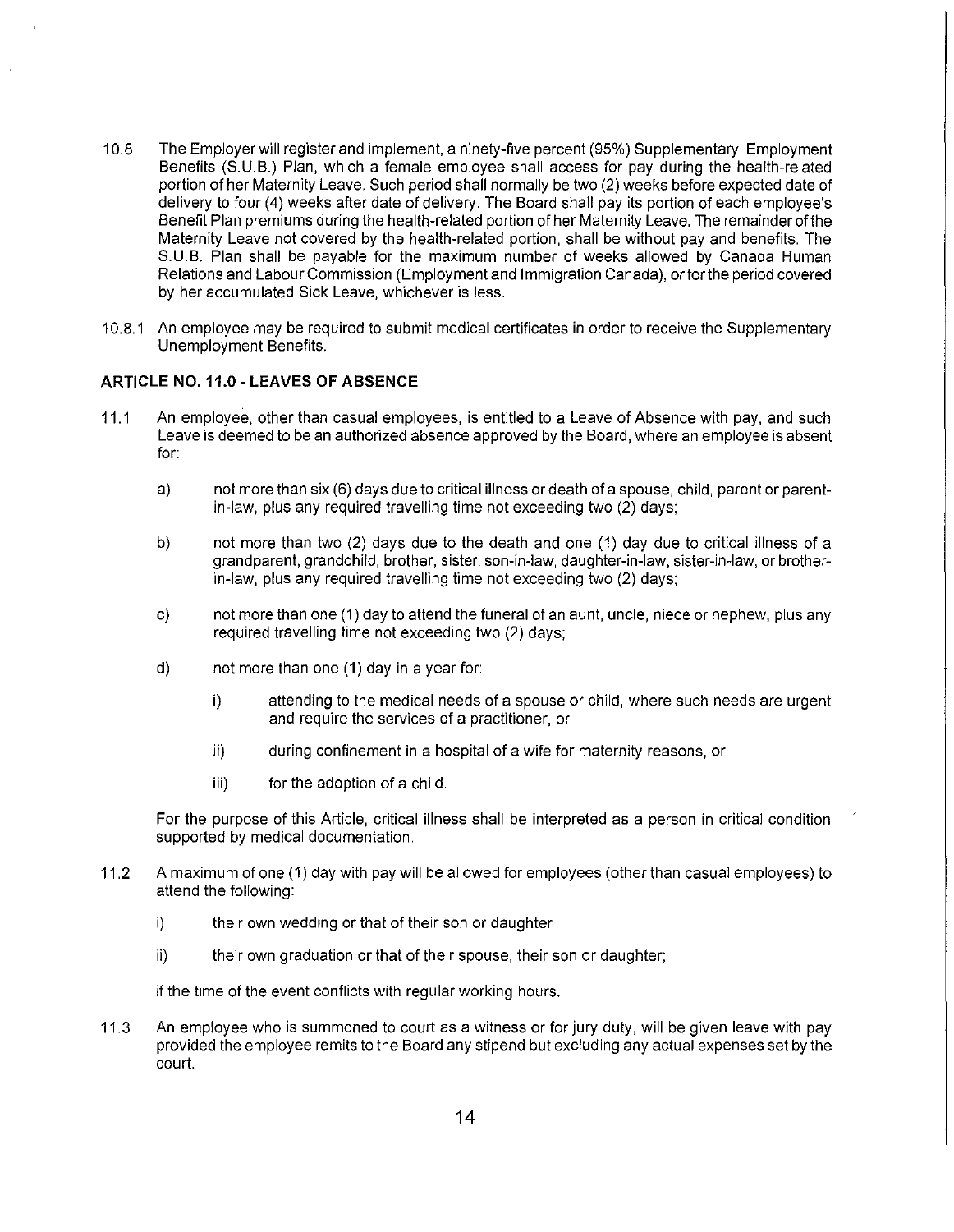- 10.8 The Employer will register and implement, a ninety-five percent (95%) Supplementary Employment Benefits (S.U.B.) Plan, which a female employee shall access for pay during the health-related portion of her Maternity Leave. Such period shall normally be two (2) weeks before expected date of delivery to four (4) weeks after date of delivery. The Board shall pay its portion of each employee's Benefit Plan premiums during the health-related portion of her Maternity Leave. The remainder of the Maternity Leave not covered by the health-related portion, shall be without pay and benefits. The S.U.B. Plan shall be payable for the maximum number of weeks allowed by Canada Human Relations and Labour Commission (Employment and Immigration Canada), or for the period covered by her accumulated Sick Leave, whichever is less.
- 10.8.1 An employee may be required to submit medical certificates in order to receive the Supplementary Unemployment Benefits.

# **ARTICLE NO. 11.0 - LEAVES OF ABSENCE**

- 11.1 An employee, other than casual employees, is entitled to a Leave of Absence with pay, and such Leave is deemed to be an authorized absence approved by the Board, where an employee is absent for:
	- a) not more than six (6) days due to critical illness or death of a spouse, child, parent or parentin-law, plus any required travelling time not exceeding two (2) days;
	- b) not more than two (2) days due to the death and one (1) day due to critical illness of a grandparent, grandchild, brother, sister, son-in-law, daughter-in-law, sister-in-law, or brotherin-law, plus any required travelling time not exceeding two (2) days;
	- c) not more than one (1) day to attend the funeral of an aunt, uncle, niece or nephew, plus any required travelling time not exceeding two (2) days;
	- d) not more than one (1) day in a year for:
		- i) attending to the medical needs of a spouse or child, where such needs are urgent and require the services of a practitioner, or
		- ii) during confinement in a hospital of a wife for maternity reasons, or
		- iii) for the adoption of a child.

For the purpose of this Article, critical illness shall be interpreted as a person in critical condition supported by medical documentation.

- 11.2 A maximum of one (1) day with pay will be allowed for employees (other than casual employees) to attend the following:
	- i) their own wedding or that of their son or daughter
	- ii) their own graduation or that of their spouse, their son or daughter;

if the time of the event conflicts with regular working hours.

11.3 An employee who is summoned to court as a witness or for jury duty, will be given leave with pay provided the employee remits to the Board any stipend but excluding any actual expenses set by the court.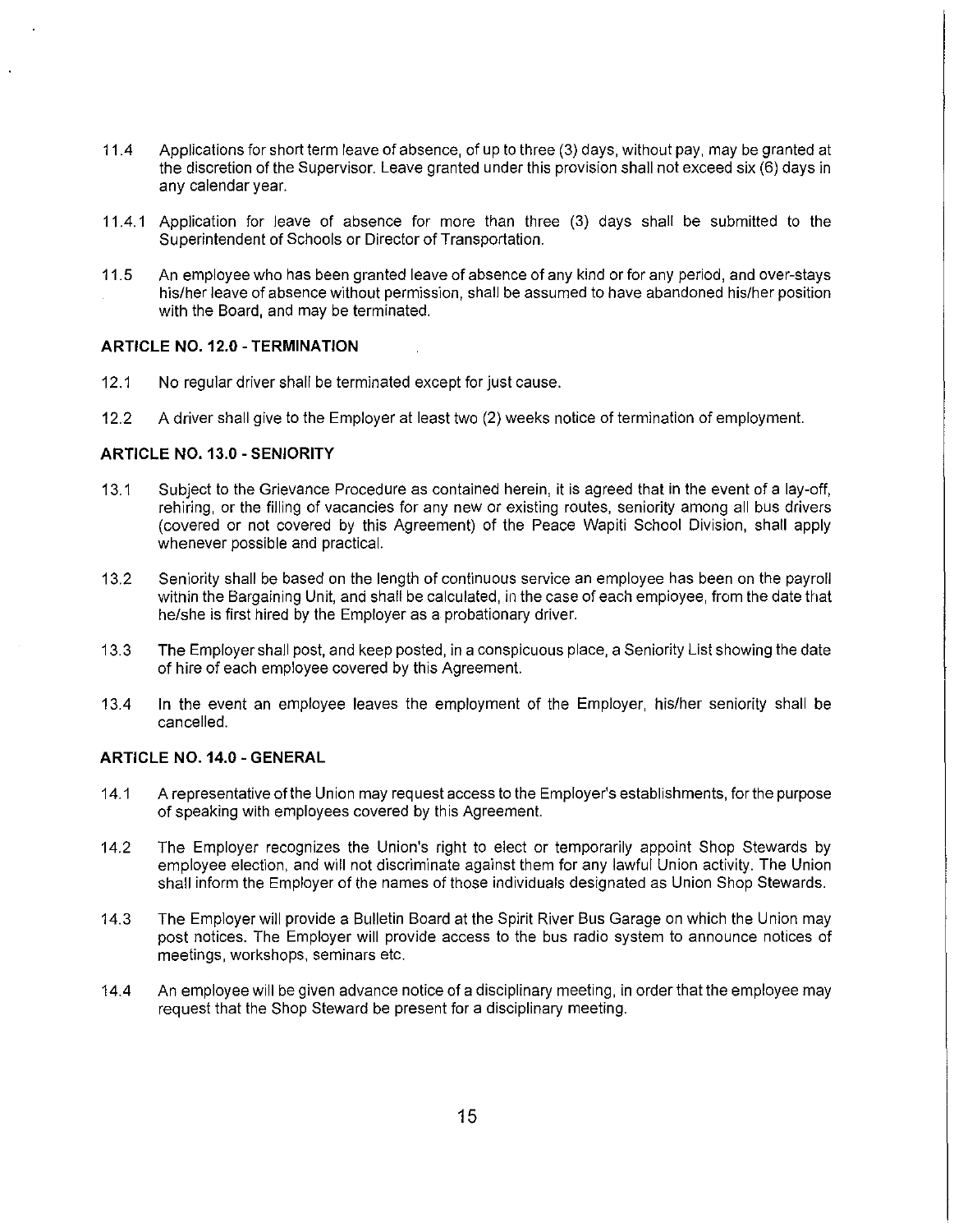- 11.4 Applications for short term leave of absence, of up to three (3) days, without pay, may be granted at the discretion of the Supervisor. Leave granted under this provision shall not exceed six (6) days in any calendar year.
- 11.4.1 Application for leave of absence for more than three (3) days shall be submitted to the Superintendent of Schools or Director of Transportation.
- 11.5 An employee who has been granted leave of absence of any kind or for any period, and over-stays his/her leave of absence without permission, shall be assumed to have abandoned his/her position with the Board, and may be terminated.

#### **ARTICLE N0.12.0 -TERMINATION**

- 12.1 No regular driver shall be terminated except for just cause.
- 12.2 A driver shall give to the Employer at least two (2) weeks notice of termination of employment.

## **ARTICLE NO. 13.0 - SENIORITY**

- 13.1 Subject to the Grievance Procedure as contained herein, it is agreed that in the event of a lay-off, rehiring, or the filling of vacancies for any new or existing routes, seniority among all bus drivers (covered or not covered by this Agreement) of the Peace Wapiti School Division, shall apply whenever possible and practical.
- 13.2 Seniority shall be based on the length of continuous service an employee has been on the payroll within the Bargaining Unit, and shall be calculated, in the case of each empioyee, from the date that he/she is first hired by the Employer as a probationary driver.
- 13.3 The Employer shall post, and keep posted, in a conspicuous place, a Seniority List showing the date of hire of each employee covered by this Agreement.
- 13.4 In the event an employee leaves the employment of the Employer, his/her seniority shall be cancelled.

## **ARTICLE NO. 14.0 - GENERAL**

- 14.1 A representative of the Union may request access to the Employer's establishments, for the purpose of speaking with employees covered by this Agreement.
- 14.2 The Employer recognizes the Union's right to elect or temporarily appoint Shop Stewards by employee election, and will not discriminate against them for any lawful Union activity. The Union shall inform the Employer of the names of those individuals designated as Union Shop Stewards.
- 14.3 The Employer will provide a Bulletin Board at the Spirit River Bus Garage on which the Union may post notices. The Employer will provide access to the bus radio system to announce notices of meetings, workshops, seminars etc.
- 14.4 An employee will be given advance notice of a disciplinary meeting, in order that the employee may request that the Shop Steward be present for a disciplinary meeting.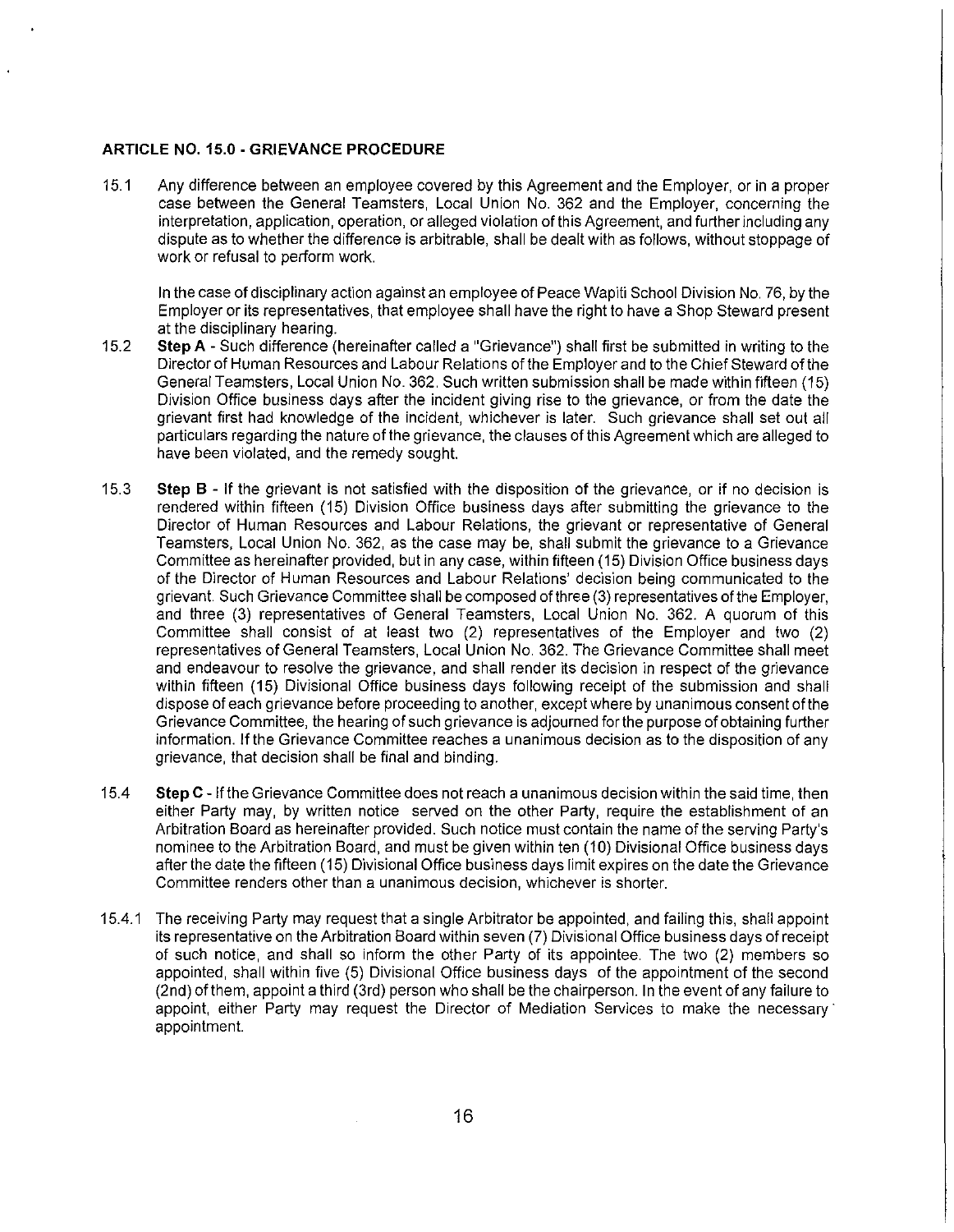# **ARTICLE NO. 15.0 - GRIEVANCE PROCEDURE**

15.1 Any difference between an employee covered by this Agreement and the Employer, or in a proper case between the General Teamsters, Local Union No. 362 and the Employer, concerning the interpretation, application, operation, or alleged violation of this Agreement, and further including any dispute as to whether the difference is arbitrable, shall be dealt with as follows, without stoppage of work or refusal to perform work.

In the case of disciplinary action against an employee of Peace Wapiti School Division No. 76, by the Employer or its representatives, that employee shall have the right to have a Shop Steward present at the disciplinary hearing.

- 15.2 **Step A**  Such difference (hereinafter called a "Grievance") shall first be submitted in writing to the Director of Human Resources and Labour Relations of the Employer and to the Chief Steward of the General Teamsters, Local Union No. 362. Such written submission shall be made within fifteen (15) Division Office business days after the incident giving rise to the grievance, or from the date the grievant first had knowledge of the incident, whichever is later. Such grievance shall set out all particulars regarding the nature of the grievance, the clauses of this Agreement which are alleged to have been violated, and the remedy sought.
- 15.3 **Step B**  If the grievant is not satisfied with the disposition of the grievance, or if no decision is rendered within fifteen (15) Division Office business days after submitting the grievance to the Director of Human Resources and Labour Relations, the grievant or representative of General Teamsters, Local Union No. 362, as the case may be, shall submit the grievance to a Grievance Committee as hereinafter provided, but in any case, within fifteen (15) Division Office business days of the Director of Human Resources and Labour Relations' decision being communicated to the grievant. Such Grievance Committee shall be composed of three (3) representatives of the Employer, and three (3) representatives of General Teamsters, Local Union No. 362. A quorum of this Committee shall consist of at least two (2) representatives of the Employer and two (2) representatives of General Teamsters, Local Union No. 362. The Grievance Committee shall meet and endeavour to resolve the grievance, and shall render its decision in respect of the grievance within fifteen (15) Divisional Office business days following receipt of the submission and shall dispose of each grievance before proceeding to another, except where by unanimous consent of the Grievance Committee, the hearing of such grievance is adjourned for the purpose of obtaining further information. If the Grievance Committee reaches a unanimous decision as to the disposition of any grievance, that decision shall be final and binding.
- 15.4 **Step** C If the Grievance Committee does not reach a unanimous decision within the said time, then either Party may, by written notice served on the other Party, require the establishment of an Arbitration Board as hereinafter provided. Such notice must contain the name of the serving Party's nominee to the Arbitration Board, and must be given within ten (10) Divisional Office business days after the date the fifteen (15) Divisional Office business days limit expires on the date the Grievance Committee renders other than a unanimous decision, whichever is shorter.
- 15.4.1 The receiving Party may request that a single Arbitrator be appointed, and failing this, shall appoint its representative on the Arbitration Board within seven (7) Divisional Office business days of receipt of such notice, and shall so inform the other Party of its appointee. The two (2) members so appointed, shall within five (5) Divisional Office business days of the appointment of the second (2nd) of them, appoint a third (3rd) person who shall be the chairperson. In the event of any failure to appoint, either Party may request the Director of Mediation Services to make the necessary· appointment.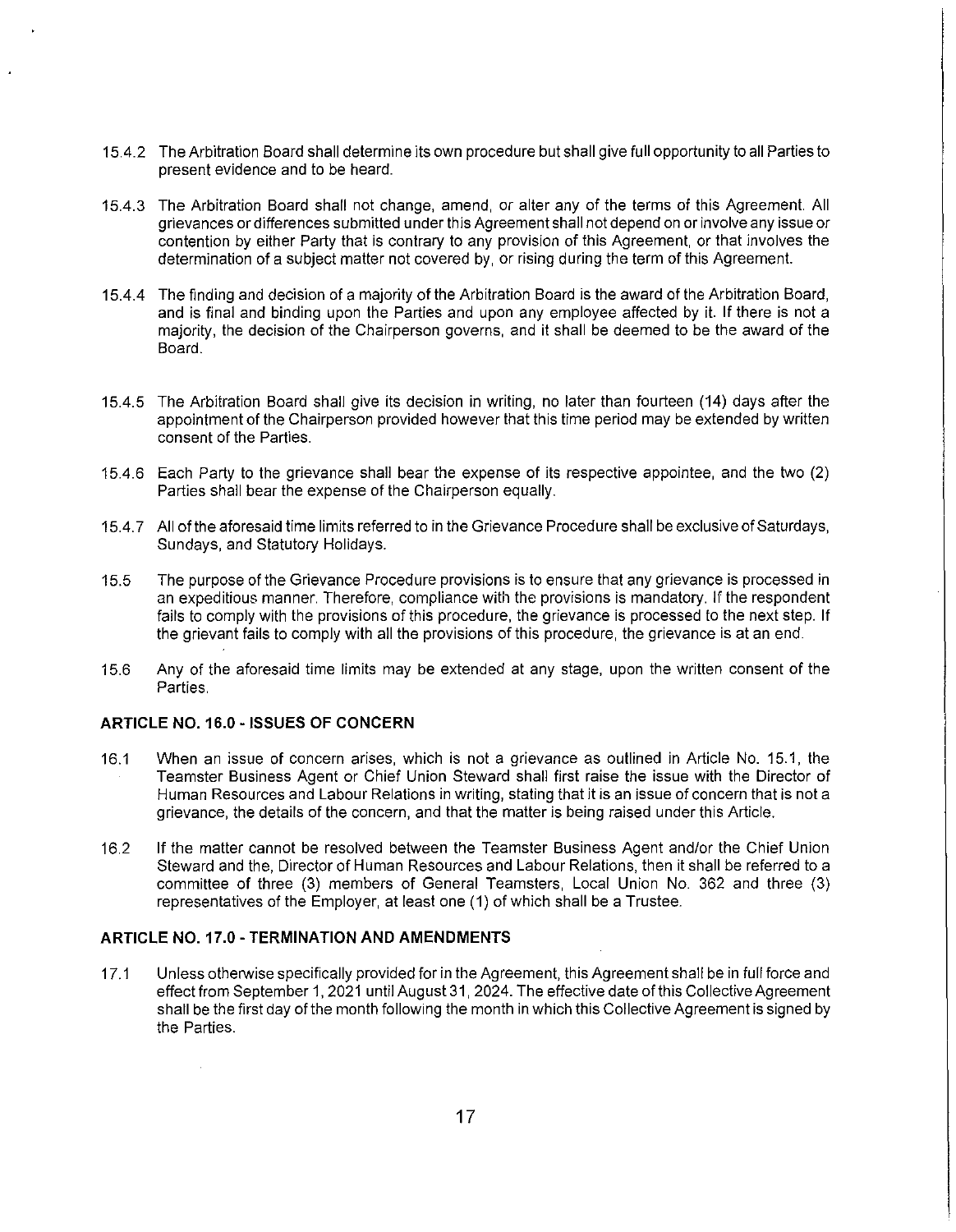- 15.4.2 The Arbitration Board shall determine its own procedure but shall give full opportunity to all Parties to present evidence and to be heard.
- 15.4.3 The Arbitration Board shall not change, amend, or alter any of the terms of this Agreement. All grievances or differences submitted under this Agreement shall not depend on or involve any issue or contention by either Party that is contrary to any provision of this Agreement, or that involves the determination of a subject matter not covered by, or rising during the term of this Agreement.
- 15.4.4 The finding and decision of a majority of the Arbitration Board is the award of the Arbitration Board, and is final and binding upon the Parties and upon any employee affected by it. If there is not a majority, the decision of the Chairperson governs, and it shall be deemed to be the award of the Board.
- 15.4.5 The Arbitration Board shall give its decision in writing, no later than fourteen (14) days after the appointment of the Chairperson provided however that this time period may be extended by written consent of the Parties.
- 15.4.6 Each Party to the grievance shall bear the expense of its respective appointee, and the two (2) Parties shall bear the expense of the Chairperson equally.
- 15.4. 7 All of the aforesaid time limits referred to in the Grievance Procedure shall be exclusive of Saturdays, Sundays, and Statutory Holidays.
- 15.5 The purpose of the Grievance Procedure provisions is to ensure that any grievance is processed in an expeditious manner. Therefore, compliance with the provisions is mandatory. If the respondent fails to comply with the provisions of this procedure, the grievance is processed to the next step. If the grievant fails to comply with all the provisions of this procedure, the grievance is at an end.
- 15.6 Any of the aforesaid time limits may be extended at any stage, upon the written consent of the Parties.

# **ARTICLE NO. 16.0 - ISSUES OF CONCERN**

 $\sim$ 

- 16.1 When an issue of concern arises, which is not a grievance as outlined in Article No. 15.1, the Teamster Business Agent or Chief Union Steward shall first raise the issue with the Director of Human Resources and Labour Relations in writing, stating that it is an issue of concern that is not a grievance, the details of the concern, and that the matter is being raised under this Article.
- 16.2 If the matter cannot be resolved between the Teamster Business Agent and/or the Chief Union Steward and the, Director of Human Resources and Labour Relations, then it shall be referred to a committee of three (3) members of General Teamsters, Local Union No. 362 and three (3) representatives of the Employer, at least one (1) of which shall be a Trustee.

#### **ARTICLE NO. 17.0 -TERMINATION AND AMENDMENTS**

17.1 Unless otherwise specifically provided for in the Agreement, this Agreement shall be in full force and effect from September 1, 2021 until August 31, 2024. The effective date of this Collective Agreement shall be the first day of the month following the month in which this Collective Agreement is signed by the Parties.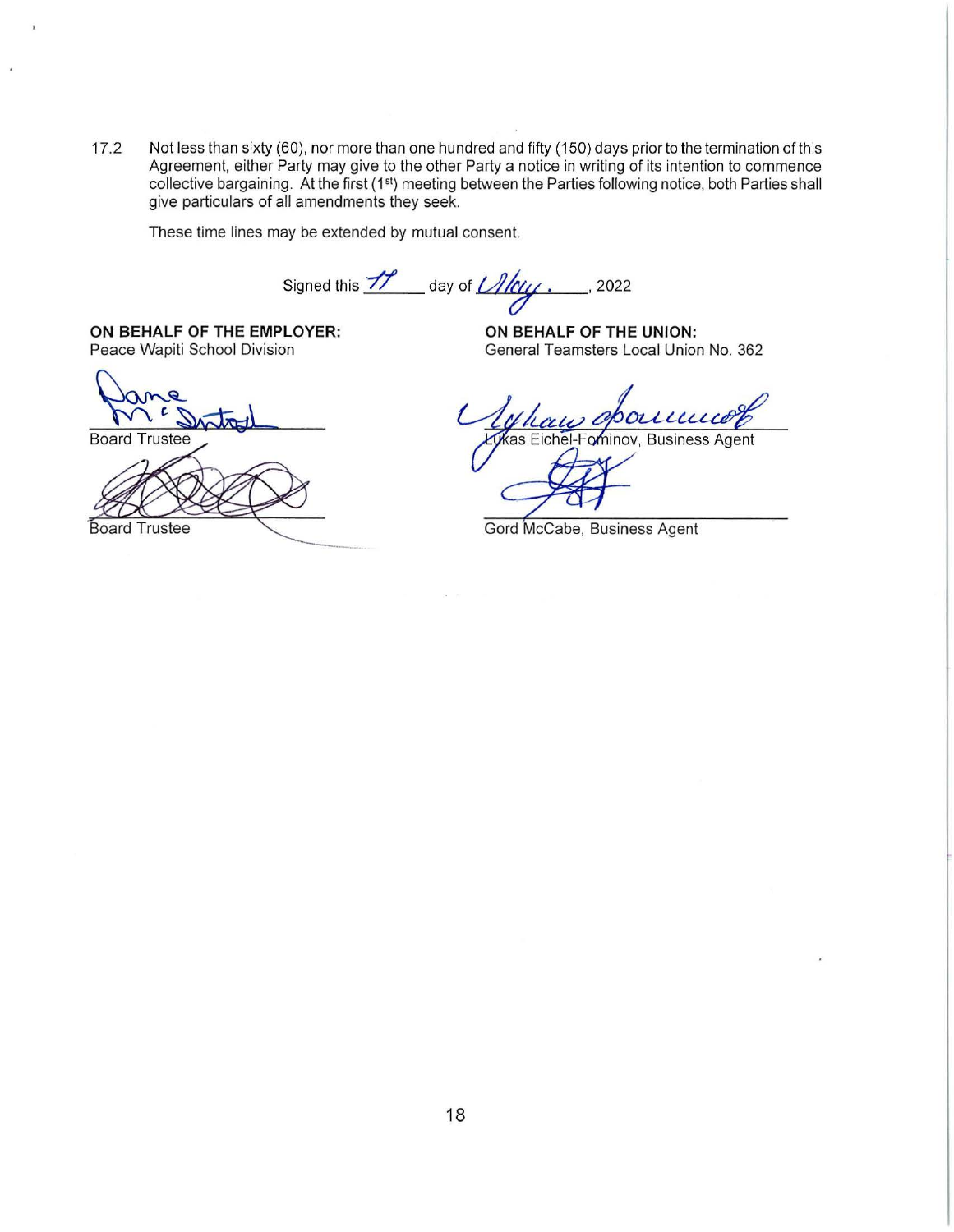17 .2 Not less than sixty (60), nor more than one hundred and fifty (150) days prior to the termination of this Agreement, either Party may give to the other Party a notice in writing of its intention to commence collective bargaining. At the first (1<sup>st</sup>) meeting between the Parties following notice, both Parties shall give particulars of all amendments they seek.

These time lines may be extended by mutual consent.

Signed this --//' day of *u"'.* '2022

**ON BEHALF OF THE EMPLOYER:**<br>Peace Wapiti School Division

Board Trustee



General Teamsters Local Union No. 362

oponne kas Eichel-Fominov, Business Agent

Gord McCabe, Business Agent